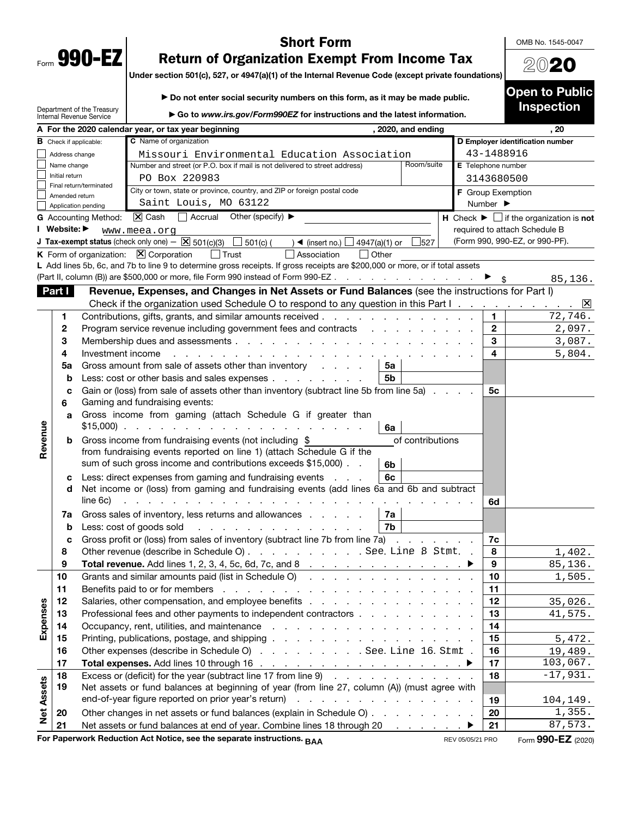| Form | 990 |  |
|------|-----|--|

OMB No. 1545-0047

20**20**

# **Short Form<br>
Return of Organization Exempt From Income Tax**

**Return of Organization Exempt From Income Tax Under section 501(c), 527, or 4947(a)(1) of the Internal Revenue Code (except private foundations)**

|                   |                |                                                        | ▶ Do not enter social security numbers on this form, as it may be made public.                                                                                                                                                 |                    |            | <b>Open to Public</b>                                         |
|-------------------|----------------|--------------------------------------------------------|--------------------------------------------------------------------------------------------------------------------------------------------------------------------------------------------------------------------------------|--------------------|------------|---------------------------------------------------------------|
|                   |                | Department of the Treasury<br>Internal Revenue Service | Go to www.irs.gov/Form990EZ for instructions and the latest information.                                                                                                                                                       |                    |            | <b>Inspection</b>                                             |
|                   |                |                                                        | A For the 2020 calendar year, or tax year beginning<br>, 2020, and ending                                                                                                                                                      |                    |            | . 20                                                          |
|                   |                | <b>B</b> Check if applicable:                          | C Name of organization                                                                                                                                                                                                         |                    |            | D Employer identification number                              |
|                   | Address change |                                                        | Missouri Environmental Education Association                                                                                                                                                                                   |                    | 43-1488916 |                                                               |
|                   | Name change    |                                                        | Room/suite<br>Number and street (or P.O. box if mail is not delivered to street address)                                                                                                                                       | E Telephone number |            |                                                               |
|                   | Initial return | Final return/terminated                                | PO Box 220983                                                                                                                                                                                                                  |                    |            | 3143680500                                                    |
|                   | Amended return |                                                        | City or town, state or province, country, and ZIP or foreign postal code                                                                                                                                                       | F Group Exemption  |            |                                                               |
|                   |                | Application pending                                    | Saint Louis, MO 63122                                                                                                                                                                                                          |                    | Number ▶   |                                                               |
|                   |                | <b>G</b> Accounting Method:                            | $\mathsf{\Sigma}$ Cash<br>Other (specify) ▶<br>  Accrual                                                                                                                                                                       |                    |            | H Check $\blacktriangleright \Box$ if the organization is not |
|                   | I Website: ▶   |                                                        | www.meea.org                                                                                                                                                                                                                   |                    |            | required to attach Schedule B                                 |
|                   |                |                                                        | <b>J Tax-exempt status</b> (check only one) - $\boxed{\mathbf{X}}$ 501(c)(3)<br>$\Box$ 501(c) (<br>527<br>$\sqrt{ }$ (insert no.)<br>$\Box$ 4947(a)(1) or                                                                      |                    |            | (Form 990, 990-EZ, or 990-PF).                                |
|                   |                |                                                        | K Form of organization: $X$ Corporation<br>$\vert$ Trust<br>Association<br>$\vert$ Other                                                                                                                                       |                    |            |                                                               |
|                   |                |                                                        | L Add lines 5b, 6c, and 7b to line 9 to determine gross receipts. If gross receipts are \$200,000 or more, or if total assets                                                                                                  |                    |            |                                                               |
|                   |                |                                                        | (Part II, column (B)) are \$500,000 or more, file Form 990 instead of Form 990-EZ                                                                                                                                              |                    |            | 85,136.                                                       |
|                   | Part I         |                                                        | Revenue, Expenses, and Changes in Net Assets or Fund Balances (see the instructions for Part I)                                                                                                                                |                    |            |                                                               |
|                   |                |                                                        | Check if the organization used Schedule O to respond to any question in this Part I.                                                                                                                                           |                    |            | $\mathbf{X}$                                                  |
|                   | 1.             |                                                        | Contributions, gifts, grants, and similar amounts received.<br>the contract of the contract of the contract of the contract of the contract of the contract of the contract of                                                 |                    | 1          | 72,746.                                                       |
|                   | 2              |                                                        | Program service revenue including government fees and contracts                                                                                                                                                                |                    | 2          | 2,097.                                                        |
|                   | 3              |                                                        | Membership dues and assessments                                                                                                                                                                                                |                    | 3          | 3,087.                                                        |
|                   | 4              | Investment income                                      |                                                                                                                                                                                                                                |                    | 4          | 5,804.                                                        |
|                   | 5a             |                                                        | Gross amount from sale of assets other than inventory<br>5a                                                                                                                                                                    |                    |            |                                                               |
|                   | b              |                                                        | Less: cost or other basis and sales expenses<br>5b                                                                                                                                                                             |                    |            |                                                               |
|                   | c<br>6         |                                                        | Gain or (loss) from sale of assets other than inventory (subtract line 5b from line 5a)<br>Gaming and fundraising events:                                                                                                      |                    | 5с         |                                                               |
|                   | a              |                                                        | Gross income from gaming (attach Schedule G if greater than<br>$$15,000$<br>6a                                                                                                                                                 |                    |            |                                                               |
| Revenue           | b              |                                                        | of contributions<br>Gross income from fundraising events (not including \$                                                                                                                                                     |                    |            |                                                               |
|                   |                |                                                        | from fundraising events reported on line 1) (attach Schedule G if the                                                                                                                                                          |                    |            |                                                               |
|                   |                |                                                        | sum of such gross income and contributions exceeds \$15,000).<br>6b                                                                                                                                                            |                    |            |                                                               |
|                   | c              |                                                        | Less: direct expenses from gaming and fundraising events<br>6с                                                                                                                                                                 |                    |            |                                                               |
|                   | d              |                                                        | Net income or (loss) from gaming and fundraising events (add lines 6a and 6b and subtract                                                                                                                                      |                    |            |                                                               |
|                   |                | line 6c)                                               |                                                                                                                                                                                                                                |                    | 6d         |                                                               |
|                   | 7a             |                                                        | Gross sales of inventory, less returns and allowances<br>7a                                                                                                                                                                    |                    |            |                                                               |
|                   | b              |                                                        | 7b<br>Less: cost of goods sold                                                                                                                                                                                                 |                    |            |                                                               |
|                   | с              |                                                        | Gross profit or (loss) from sales of inventory (subtract line 7b from line 7a)                                                                                                                                                 |                    | 7c         |                                                               |
|                   | 8              |                                                        | Other revenue (describe in Schedule O) See Line 8 Stmt.                                                                                                                                                                        |                    | 8          | 1,402.                                                        |
|                   | 9              |                                                        |                                                                                                                                                                                                                                |                    | 9          | 85,136.                                                       |
|                   | 10             |                                                        | Grants and similar amounts paid (list in Schedule O)                                                                                                                                                                           |                    | 10         | 1,505.                                                        |
|                   | 11             |                                                        | Benefits paid to or for members enters and the context of the context of the context of the context of the context of the context of the context of the context of the context of the context of the context of the context of |                    | 11         |                                                               |
|                   | 12             |                                                        |                                                                                                                                                                                                                                |                    | 12         | 35,026.                                                       |
|                   | 13             |                                                        | Professional fees and other payments to independent contractors                                                                                                                                                                |                    | 13         | 41,575.                                                       |
| Expenses          | 14             |                                                        |                                                                                                                                                                                                                                |                    | 14         |                                                               |
|                   | 15             |                                                        |                                                                                                                                                                                                                                |                    | 15         | 5,472.                                                        |
|                   | 16             |                                                        | Other expenses (describe in Schedule O) See. Line 16. Stmt.                                                                                                                                                                    |                    | 16         | 19,489.                                                       |
|                   | 17             |                                                        |                                                                                                                                                                                                                                |                    | 17         | 103,067.                                                      |
|                   | 18<br>19       |                                                        | Excess or (deficit) for the year (subtract line 17 from line 9)<br>Net assets or fund balances at beginning of year (from line 27, column (A)) (must agree with                                                                |                    | 18         | $-17,931.$                                                    |
|                   |                |                                                        | end-of-year figure reported on prior year's return)                                                                                                                                                                            |                    | 19         | 104,149.                                                      |
| <b>Net Assets</b> | 20             |                                                        | Other changes in net assets or fund balances (explain in Schedule O)                                                                                                                                                           |                    | 20         | 1,355.                                                        |
|                   | 21             |                                                        | Net assets or fund balances at end of year. Combine lines 18 through 20 ▶                                                                                                                                                      |                    | 21         | 87,573.                                                       |
|                   |                |                                                        | For Paperwork Reduction Act Notice, see the separate instructions. BAA                                                                                                                                                         |                    |            |                                                               |
|                   |                |                                                        |                                                                                                                                                                                                                                | REV 05/05/21 PRO   |            | Form 990-EZ (2020)                                            |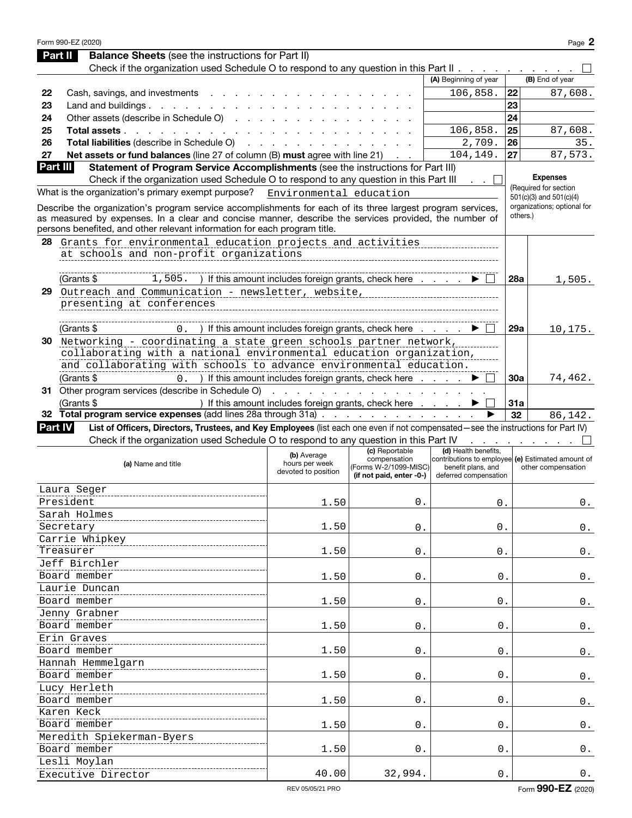|          | Form 990-EZ (2020)                                                                                                                                                                                                                                                                                |                                                      |                                                                                     |                                                                                                                          |          | Page 2                                           |
|----------|---------------------------------------------------------------------------------------------------------------------------------------------------------------------------------------------------------------------------------------------------------------------------------------------------|------------------------------------------------------|-------------------------------------------------------------------------------------|--------------------------------------------------------------------------------------------------------------------------|----------|--------------------------------------------------|
|          | <b>Balance Sheets</b> (see the instructions for Part II)<br>Part II                                                                                                                                                                                                                               |                                                      |                                                                                     |                                                                                                                          |          |                                                  |
|          | Check if the organization used Schedule O to respond to any question in this Part $II \cdot \cdot \cdot \cdot \cdot \cdot$                                                                                                                                                                        |                                                      |                                                                                     |                                                                                                                          |          |                                                  |
|          |                                                                                                                                                                                                                                                                                                   |                                                      |                                                                                     | (A) Beginning of year                                                                                                    |          | (B) End of year                                  |
| 22       | Cash, savings, and investments                                                                                                                                                                                                                                                                    |                                                      |                                                                                     | 106,858.                                                                                                                 | 22       | 87,608.                                          |
| 23       | Land and buildings $\ldots$ $\ldots$ $\ldots$ $\ldots$                                                                                                                                                                                                                                            |                                                      |                                                                                     |                                                                                                                          | 23       |                                                  |
| 24       | Other assets (describe in Schedule O)                                                                                                                                                                                                                                                             |                                                      |                                                                                     |                                                                                                                          | 24       |                                                  |
| 25       | Total assets                                                                                                                                                                                                                                                                                      |                                                      |                                                                                     | 106,858.                                                                                                                 | 25       | 87,608.                                          |
| 26       | Total liabilities (describe in Schedule O)                                                                                                                                                                                                                                                        |                                                      |                                                                                     | 2,709.                                                                                                                   | 26       | 35.                                              |
| 27       | Net assets or fund balances (line 27 of column (B) must agree with line 21)                                                                                                                                                                                                                       |                                                      |                                                                                     | 104,149.                                                                                                                 | 27       | 87,573.                                          |
| Part III | Statement of Program Service Accomplishments (see the instructions for Part III)                                                                                                                                                                                                                  |                                                      |                                                                                     |                                                                                                                          |          |                                                  |
|          | Check if the organization used Schedule O to respond to any question in this Part III                                                                                                                                                                                                             |                                                      |                                                                                     |                                                                                                                          |          | <b>Expenses</b>                                  |
|          | What is the organization's primary exempt purpose?                                                                                                                                                                                                                                                | Environmental education                              |                                                                                     |                                                                                                                          |          | (Required for section<br>501(c)(3) and 501(c)(4) |
|          | Describe the organization's program service accomplishments for each of its three largest program services,<br>as measured by expenses. In a clear and concise manner, describe the services provided, the number of<br>persons benefited, and other relevant information for each program title. |                                                      |                                                                                     |                                                                                                                          | others.) | organizations; optional for                      |
| 28       | Grants for environmental education projects and activities<br>at schools and non-profit organizations                                                                                                                                                                                             |                                                      |                                                                                     |                                                                                                                          |          |                                                  |
|          |                                                                                                                                                                                                                                                                                                   |                                                      |                                                                                     |                                                                                                                          |          |                                                  |
|          | 1,505. ) If this amount includes foreign grants, check here<br>(Grants \$                                                                                                                                                                                                                         |                                                      |                                                                                     |                                                                                                                          | 28a      | 1,505.                                           |
|          | 29 Outreach and Communication - newsletter, website,                                                                                                                                                                                                                                              |                                                      |                                                                                     |                                                                                                                          |          |                                                  |
|          | presenting at conferences                                                                                                                                                                                                                                                                         |                                                      |                                                                                     |                                                                                                                          |          |                                                  |
|          |                                                                                                                                                                                                                                                                                                   |                                                      |                                                                                     |                                                                                                                          |          |                                                  |
|          | (Grants \$<br>0.                                                                                                                                                                                                                                                                                  | ) If this amount includes foreign grants, check here |                                                                                     |                                                                                                                          | 29a      | 10,175.                                          |
|          | 30 Networking - coordinating a state green schools partner network,                                                                                                                                                                                                                               |                                                      |                                                                                     |                                                                                                                          |          |                                                  |
|          | collaborating with a national environmental education organization,                                                                                                                                                                                                                               |                                                      |                                                                                     |                                                                                                                          |          |                                                  |
|          | and collaborating with schools to advance environmental education.                                                                                                                                                                                                                                |                                                      |                                                                                     |                                                                                                                          |          |                                                  |
|          | 0. ) If this amount includes foreign grants, check here<br>(Grants \$                                                                                                                                                                                                                             |                                                      |                                                                                     |                                                                                                                          | 30a      | 74,462.                                          |
|          | 31 Other program services (describe in Schedule O)                                                                                                                                                                                                                                                |                                                      | .                                                                                   |                                                                                                                          |          |                                                  |
|          | (Grants \$                                                                                                                                                                                                                                                                                        | ) If this amount includes foreign grants, check here |                                                                                     |                                                                                                                          | 31a      |                                                  |
|          | 32 Total program service expenses (add lines 28a through 31a)                                                                                                                                                                                                                                     |                                                      |                                                                                     |                                                                                                                          | 32       | 86,142.                                          |
|          | List of Officers, Directors, Trustees, and Key Employees (list each one even if not compensated-see the instructions for Part IV)<br><b>Part IV</b>                                                                                                                                               |                                                      |                                                                                     |                                                                                                                          |          |                                                  |
|          | Check if the organization used Schedule O to respond to any question in this Part IV                                                                                                                                                                                                              |                                                      |                                                                                     |                                                                                                                          |          |                                                  |
|          | (a) Name and title                                                                                                                                                                                                                                                                                | (b) Average<br>hours per week<br>devoted to position | (c) Reportable<br>compensation<br>(Forms W-2/1099-MISC)<br>(if not paid, enter -0-) | (d) Health benefits,<br>contributions to employee (e) Estimated amount of<br>benefit plans, and<br>deferred compensation |          | other compensation                               |
|          | Laura Seger                                                                                                                                                                                                                                                                                       |                                                      |                                                                                     |                                                                                                                          |          |                                                  |
|          | President                                                                                                                                                                                                                                                                                         | 1.50                                                 | $0$ .                                                                               | 0.                                                                                                                       |          | $0_{\cdot}$                                      |
|          | Sarah Holmes                                                                                                                                                                                                                                                                                      |                                                      |                                                                                     |                                                                                                                          |          |                                                  |
|          | Secretary                                                                                                                                                                                                                                                                                         | 1.50                                                 | $0$ .                                                                               | 0.                                                                                                                       |          | $0$ .                                            |
|          | Carrie Whipkey                                                                                                                                                                                                                                                                                    |                                                      |                                                                                     |                                                                                                                          |          |                                                  |
|          | Treasurer                                                                                                                                                                                                                                                                                         | 1.50                                                 | $\mathbf 0$ .                                                                       | $0$ .                                                                                                                    |          | $0$ .                                            |
|          | Jeff Birchler                                                                                                                                                                                                                                                                                     |                                                      |                                                                                     |                                                                                                                          |          |                                                  |
|          | Board member                                                                                                                                                                                                                                                                                      | 1.50                                                 | $0$ .                                                                               | $0$ .                                                                                                                    |          | $0$ .                                            |
|          | Laurie Duncan                                                                                                                                                                                                                                                                                     |                                                      |                                                                                     |                                                                                                                          |          |                                                  |
|          | Board member                                                                                                                                                                                                                                                                                      | 1.50                                                 | 0.                                                                                  | $0$ .                                                                                                                    |          | $0$ .                                            |
|          | Jenny Grabner                                                                                                                                                                                                                                                                                     |                                                      |                                                                                     |                                                                                                                          |          |                                                  |
|          | Board member                                                                                                                                                                                                                                                                                      | 1.50                                                 | $0$ .                                                                               | $0$ .                                                                                                                    |          | $0$ .                                            |
|          | Erin Graves                                                                                                                                                                                                                                                                                       |                                                      |                                                                                     |                                                                                                                          |          |                                                  |
|          | Board member                                                                                                                                                                                                                                                                                      | 1.50                                                 | $0$ .                                                                               | $0$ .                                                                                                                    |          | 0.                                               |
|          | Hannah Hemmelgarn                                                                                                                                                                                                                                                                                 |                                                      |                                                                                     |                                                                                                                          |          |                                                  |
|          | Board member                                                                                                                                                                                                                                                                                      | 1.50                                                 | 0.                                                                                  | $0$ .                                                                                                                    |          | 0.                                               |
|          | Lucy Herleth                                                                                                                                                                                                                                                                                      |                                                      |                                                                                     |                                                                                                                          |          |                                                  |
|          | Board member                                                                                                                                                                                                                                                                                      | 1.50                                                 | 0.                                                                                  | $0$ .                                                                                                                    |          | 0.                                               |
|          | Karen Keck                                                                                                                                                                                                                                                                                        |                                                      |                                                                                     |                                                                                                                          |          |                                                  |
|          | Board member                                                                                                                                                                                                                                                                                      | 1.50                                                 | $0$ .                                                                               | $0$ .                                                                                                                    |          | $0$ .                                            |
|          | Meredith Spiekerman-Byers                                                                                                                                                                                                                                                                         |                                                      |                                                                                     |                                                                                                                          |          |                                                  |
|          | Board member                                                                                                                                                                                                                                                                                      | 1.50                                                 | $0$ .                                                                               | $0$ .                                                                                                                    |          | 0.                                               |
|          | Lesli Moylan                                                                                                                                                                                                                                                                                      |                                                      |                                                                                     |                                                                                                                          |          |                                                  |
|          | Executive Director                                                                                                                                                                                                                                                                                | 40.00                                                | 32,994.                                                                             | $0$ .                                                                                                                    |          | $0$ .                                            |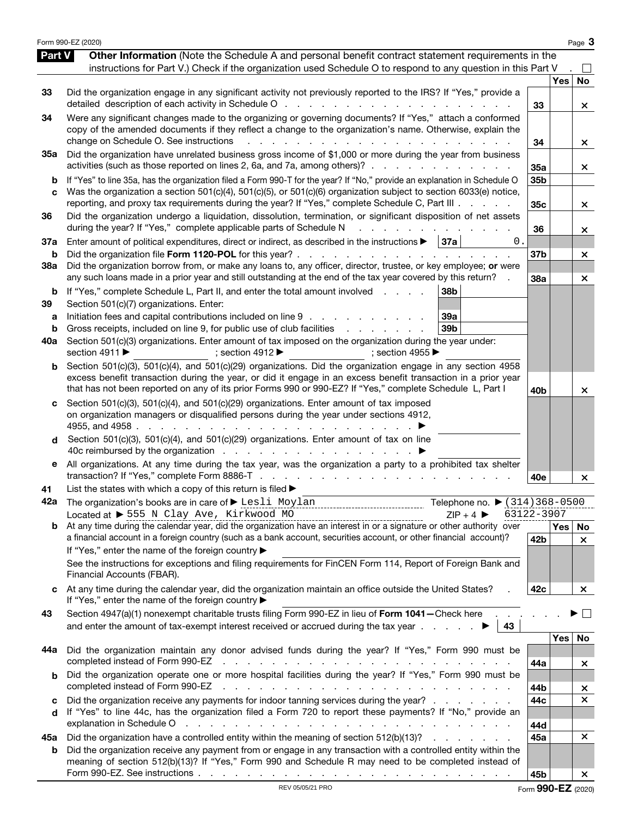|               | Form 990-EZ (2020)                                                                                                                                                                                                                                                                                                                                                   |                 |            | Page 3                    |
|---------------|----------------------------------------------------------------------------------------------------------------------------------------------------------------------------------------------------------------------------------------------------------------------------------------------------------------------------------------------------------------------|-----------------|------------|---------------------------|
| <b>Part V</b> | Other Information (Note the Schedule A and personal benefit contract statement requirements in the                                                                                                                                                                                                                                                                   |                 |            |                           |
|               | instructions for Part V.) Check if the organization used Schedule O to respond to any question in this Part V                                                                                                                                                                                                                                                        |                 |            |                           |
|               |                                                                                                                                                                                                                                                                                                                                                                      |                 | <b>Yes</b> | No                        |
| 33            | Did the organization engage in any significant activity not previously reported to the IRS? If "Yes," provide a                                                                                                                                                                                                                                                      | 33              |            | $\times$                  |
| 34            | Were any significant changes made to the organizing or governing documents? If "Yes," attach a conformed                                                                                                                                                                                                                                                             |                 |            |                           |
|               | copy of the amended documents if they reflect a change to the organization's name. Otherwise, explain the<br>change on Schedule O. See instructions<br>and the contract of the contract of the contract of                                                                                                                                                           | 34              |            | ×.                        |
| 35a           | Did the organization have unrelated business gross income of \$1,000 or more during the year from business                                                                                                                                                                                                                                                           |                 |            |                           |
|               | activities (such as those reported on lines 2, 6a, and 7a, among others)?                                                                                                                                                                                                                                                                                            | 35a             |            | ×.                        |
| b             | If "Yes" to line 35a, has the organization filed a Form 990-T for the year? If "No," provide an explanation in Schedule O                                                                                                                                                                                                                                            | 35 <sub>b</sub> |            |                           |
| c             | Was the organization a section 501(c)(4), 501(c)(5), or 501(c)(6) organization subject to section 6033(e) notice,<br>reporting, and proxy tax requirements during the year? If "Yes," complete Schedule C, Part III                                                                                                                                                  | 35c             |            | ×.                        |
| 36            | Did the organization undergo a liquidation, dissolution, termination, or significant disposition of net assets<br>during the year? If "Yes," complete applicable parts of Schedule N<br>.                                                                                                                                                                            | 36              |            | ×                         |
| 37a           | Enter amount of political expenditures, direct or indirect, as described in the instructions $\blacktriangleright$   37a<br>0.                                                                                                                                                                                                                                       |                 |            |                           |
| b             |                                                                                                                                                                                                                                                                                                                                                                      | 37 <sub>b</sub> |            | $\times$                  |
| 38a           | Did the organization borrow from, or make any loans to, any officer, director, trustee, or key employee; or were<br>any such loans made in a prior year and still outstanding at the end of the tax year covered by this return?                                                                                                                                     | 38a             |            | $\times$                  |
| b             | If "Yes," complete Schedule L, Part II, and enter the total amount involved<br>38b                                                                                                                                                                                                                                                                                   |                 |            |                           |
| 39            | Section 501(c)(7) organizations. Enter:                                                                                                                                                                                                                                                                                                                              |                 |            |                           |
| а             | Initiation fees and capital contributions included on line 9<br>39a                                                                                                                                                                                                                                                                                                  |                 |            |                           |
| b             | Gross receipts, included on line 9, for public use of club facilities<br>39 <sub>b</sub>                                                                                                                                                                                                                                                                             |                 |            |                           |
| 40a           | Section 501(c)(3) organizations. Enter amount of tax imposed on the organization during the year under:<br>section 4911 ▶<br>; section 4912 $\blacktriangleright$<br>; section 4955                                                                                                                                                                                  |                 |            |                           |
| b             | Section 501(c)(3), 501(c)(4), and 501(c)(29) organizations. Did the organization engage in any section 4958                                                                                                                                                                                                                                                          |                 |            |                           |
|               | excess benefit transaction during the year, or did it engage in an excess benefit transaction in a prior year<br>that has not been reported on any of its prior Forms 990 or 990-EZ? If "Yes," complete Schedule L, Part I                                                                                                                                           | 40 <sub>b</sub> |            | ×                         |
| C             | Section 501(c)(3), 501(c)(4), and 501(c)(29) organizations. Enter amount of tax imposed<br>on organization managers or disqualified persons during the year under sections 4912,                                                                                                                                                                                     |                 |            |                           |
| d             | Section 501(c)(3), 501(c)(4), and 501(c)(29) organizations. Enter amount of tax on line                                                                                                                                                                                                                                                                              |                 |            |                           |
| е             | All organizations. At any time during the tax year, was the organization a party to a prohibited tax shelter                                                                                                                                                                                                                                                         | 40e             |            | $\times$                  |
| 41            | List the states with which a copy of this return is filed $\blacktriangleright$                                                                                                                                                                                                                                                                                      |                 |            |                           |
| 42a           | The organization's books are in care of $\blacktriangleright$ Lesli Moylan<br>Telephone no. ▶ (314) 368-0500                                                                                                                                                                                                                                                         |                 |            |                           |
|               | Located at ▶ 555 N Clay Ave, Kirkwood MO<br>$ZIP + 4$                                                                                                                                                                                                                                                                                                                | 63122-3907      |            |                           |
|               | Located at $\blacktriangleright$ 233. We have the state of the organization have an interest in or a signature or other authority over<br>b At any time during the calendar year, did the organization have an interest in or a signature or o<br>a financial account in a foreign country (such as a bank account, securities account, or other financial account)? | 42 <sub>b</sub> | Yes   No   | ×                         |
|               | If "Yes," enter the name of the foreign country ▶                                                                                                                                                                                                                                                                                                                    |                 |            |                           |
|               | See the instructions for exceptions and filing requirements for FinCEN Form 114, Report of Foreign Bank and<br>Financial Accounts (FBAR).                                                                                                                                                                                                                            |                 |            |                           |
|               | At any time during the calendar year, did the organization maintain an office outside the United States?<br>If "Yes," enter the name of the foreign country ▶                                                                                                                                                                                                        | 42c             |            | $\times$                  |
| 43            | Section 4947(a)(1) nonexempt charitable trusts filing Form 990-EZ in lieu of Form 1041-Check here<br>and enter the amount of tax-exempt interest received or accrued during the tax year $\ldots$ $\ldots$<br>43                                                                                                                                                     |                 |            | $\mathbf{I}$              |
|               |                                                                                                                                                                                                                                                                                                                                                                      |                 | Yes        | No                        |
| 44а           | Did the organization maintain any donor advised funds during the year? If "Yes," Form 990 must be<br>completed instead of Form 990-EZ<br>the contract of the contract of the contract of the contract of                                                                                                                                                             | 44a             |            | $\times$                  |
| b             | Did the organization operate one or more hospital facilities during the year? If "Yes," Form 990 must be                                                                                                                                                                                                                                                             |                 |            |                           |
|               | completed instead of Form 990-EZ<br>and a construction of the construction of the construction of the construction of the construction of the construction of the construction of the construction of the construction of the construction of the construction of                                                                                                    | 44b             |            | ×                         |
| с             | Did the organization receive any payments for indoor tanning services during the year?                                                                                                                                                                                                                                                                               | 44c             |            | $\boldsymbol{\mathsf{x}}$ |
| d             | If "Yes" to line 44c, has the organization filed a Form 720 to report these payments? If "No," provide an<br>explanation in Schedule O<br>de la caractería de la caractería de la caractería de la caractería de la caractería                                                                                                                                       | 44d             |            |                           |
| 45а           | Did the organization have a controlled entity within the meaning of section 512(b)(13)?                                                                                                                                                                                                                                                                              | 45a             |            | $\times$                  |
| b             | Did the organization receive any payment from or engage in any transaction with a controlled entity within the                                                                                                                                                                                                                                                       |                 |            |                           |
|               | meaning of section 512(b)(13)? If "Yes," Form 990 and Schedule R may need to be completed instead of                                                                                                                                                                                                                                                                 | 45b             |            | $\times$                  |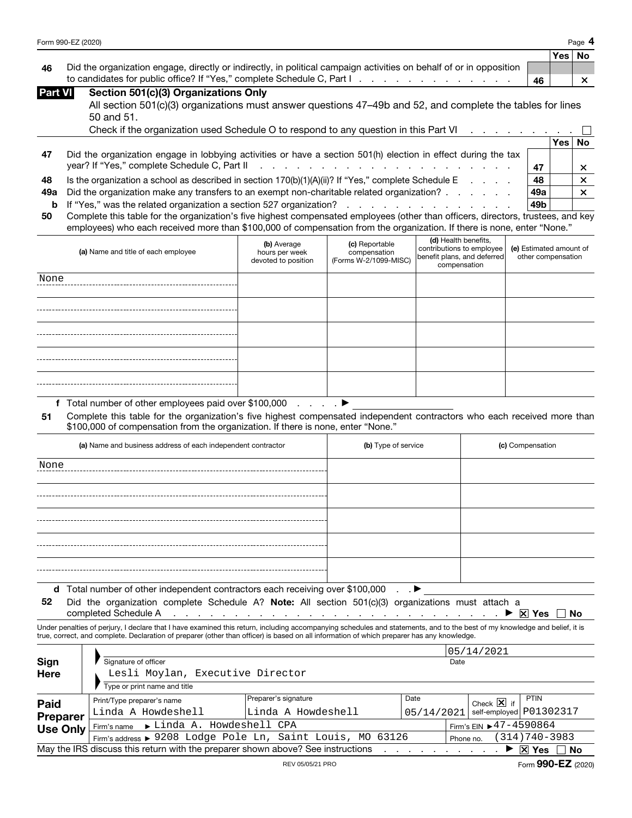|    |                                                                                                                     |    | `Yes ∣No |  |
|----|---------------------------------------------------------------------------------------------------------------------|----|----------|--|
| 46 | Did the organization engage, directly or indirectly, in political campaign activities on behalf of or in opposition |    |          |  |
|    | to candidates for public office? If "Yes," complete Schedule C, Part I<br>.                                         | 46 |          |  |

| <b>Part VI</b> | Section 501(c)(3) Organizations Only                                                                       |
|----------------|------------------------------------------------------------------------------------------------------------|
|                | All section 501(c)(3) organizations must answer questions 47–49b and 52, and complete the tables for lines |
|                | 50 and 51.                                                                                                 |

|                                                                                                               |     | Yes⊺ | <b>No</b>                                                                            |
|---------------------------------------------------------------------------------------------------------------|-----|------|--------------------------------------------------------------------------------------|
| Did the organization engage in lobbying activities or have a section 501(h) election in effect during the tax |     |      |                                                                                      |
|                                                                                                               | 47  |      | ×                                                                                    |
| Is the organization a school as described in section $170(b)(1)(A)(ii)$ ? If "Yes," complete Schedule E       | 48  |      | ×                                                                                    |
| Did the organization make any transfers to an exempt non-charitable related organization?                     | 49a |      | ×                                                                                    |
| <b>b</b> If "Yes," was the related organization a section 527 organization?                                   | 49b |      |                                                                                      |
|                                                                                                               |     |      | Check if the organization used Schedule O to respond to any question in this Part VI |

**50** Complete this table for the organization's five highest compensated employees (other than officers, directors, trustees, and key employees) who each received more than \$100,000 of compensation from the organization. If there is none, enter "None."

| (a) Name and title of each employee | (b) Average<br>hours per week<br>devoted to position | (c) Reportable<br>compensation<br>(Forms W-2/1099-MISC) | (d) Health benefits,<br>contributions to employee<br>benefit plans, and deferred<br>compensation | (e) Estimated amount of<br>other compensation |
|-------------------------------------|------------------------------------------------------|---------------------------------------------------------|--------------------------------------------------------------------------------------------------|-----------------------------------------------|
| None                                |                                                      |                                                         |                                                                                                  |                                               |
|                                     |                                                      |                                                         |                                                                                                  |                                               |
|                                     |                                                      |                                                         |                                                                                                  |                                               |
|                                     |                                                      |                                                         |                                                                                                  |                                               |
|                                     |                                                      |                                                         |                                                                                                  |                                               |

**f** Total number of other employees paid over \$100,000 . . . . a

**51** Complete this table for the organization's five highest compensated independent contractors who each received more than \$100,000 of compensation from the organization. If there is none, enter "None."

| (a) Name and business address of each independent contractor                  | (b) Type of service | (c) Compensation |
|-------------------------------------------------------------------------------|---------------------|------------------|
| None                                                                          |                     |                  |
|                                                                               |                     |                  |
|                                                                               |                     |                  |
|                                                                               |                     |                  |
|                                                                               |                     |                  |
| d Total number of other independent contractors each receiving over \$100,000 | $\cdot$ $\cdot$     |                  |

**52** Did the organization complete Schedule A? **Note:** All section 501(c)(3) organizations must attach a

completed Schedule A ........................... a **Yes No**

Under penalties of perjury, I declare that I have examined this return, including accompanying schedules and statements, and to the best of my knowledge and belief, it is true, correct, and complete. Declaration of preparer (other than officer) is based on all information of which preparer has any knowledge.

|                                                                                                                      |                                                                                                    |                                                            |      | 05/14/2021                    |                                      |  |
|----------------------------------------------------------------------------------------------------------------------|----------------------------------------------------------------------------------------------------|------------------------------------------------------------|------|-------------------------------|--------------------------------------|--|
| Sign                                                                                                                 | Signature of officer                                                                               |                                                            |      | Date                          |                                      |  |
| Here                                                                                                                 | Lesli Moylan, Executive Director                                                                   |                                                            |      |                               |                                      |  |
|                                                                                                                      | Type or print name and title                                                                       |                                                            |      |                               |                                      |  |
| Paid                                                                                                                 | Print/Type preparer's name                                                                         | Preparer's signature                                       | Date | Check $\boxed{\mathsf{X}}$ if | PTIN                                 |  |
| <b>Preparer</b>                                                                                                      | Linda A Howdeshell                                                                                 | Linda A Howdeshell                                         |      |                               | $05/14/2021$ self-employed P01302317 |  |
| Use Only                                                                                                             | Firm's name > Linda A. Howdeshell CPA<br>$\frac{1}{1}$ Firm's EIN $\blacktriangleright$ 47-4590864 |                                                            |      |                               |                                      |  |
|                                                                                                                      |                                                                                                    | Firm's address ▶ 9208 Lodge Pole Ln, Saint Louis, MO 63126 |      | Phone no.                     | $(314)740 - 3983$                    |  |
| May the IRS discuss this return with the preparer shown above? See instructions<br>$\overline{\mathsf{X}}$ Yes<br>No |                                                                                                    |                                                            |      |                               |                                      |  |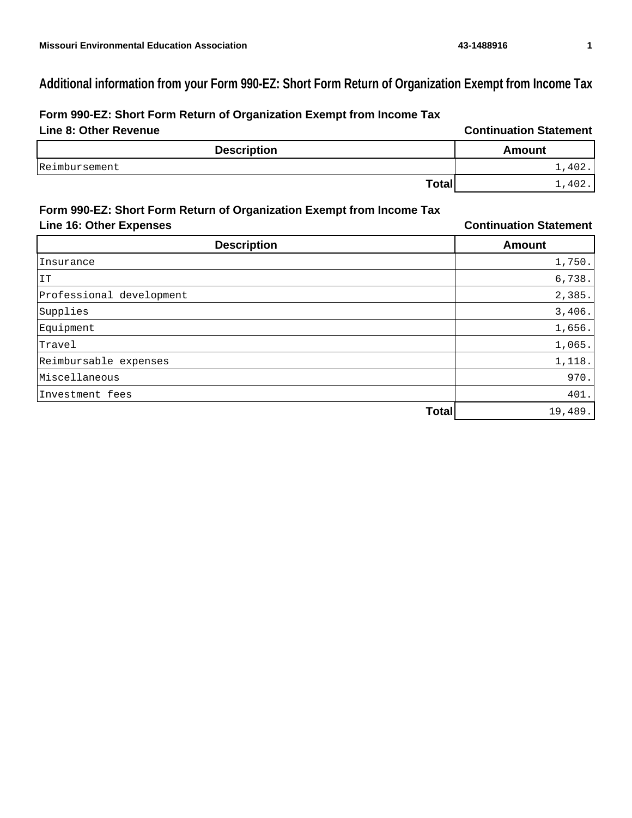| Form 990-EZ: Short Form Return of Organization Exempt from Income Tax |                               |  |  |
|-----------------------------------------------------------------------|-------------------------------|--|--|
| <b>Line 8: Other Revenue</b>                                          | <b>Continuation Statement</b> |  |  |
| <b>Description</b>                                                    | Amount                        |  |  |
| Reimbursement                                                         | 1,402.                        |  |  |
| <b>Total</b>                                                          | 1,402.                        |  |  |
|                                                                       |                               |  |  |

### **Form 990-EZ: Short Form Return of Organization Exempt from Income Tax Line 16: Other Expenses Continuation Statement**

| <b>Description</b>       | <b>Amount</b> |  |  |
|--------------------------|---------------|--|--|
| Insurance                | 1,750.        |  |  |
| IT                       | 6,738.        |  |  |
| Professional development | 2,385.        |  |  |
| Supplies                 | 3,406.        |  |  |
| Equipment                | 1,656.        |  |  |
| Travel                   | 1,065.        |  |  |
| Reimbursable expenses    | 1,118.        |  |  |
| Miscellaneous            | 970.          |  |  |
| Investment fees          | 401.          |  |  |
| Total                    | 19,489.       |  |  |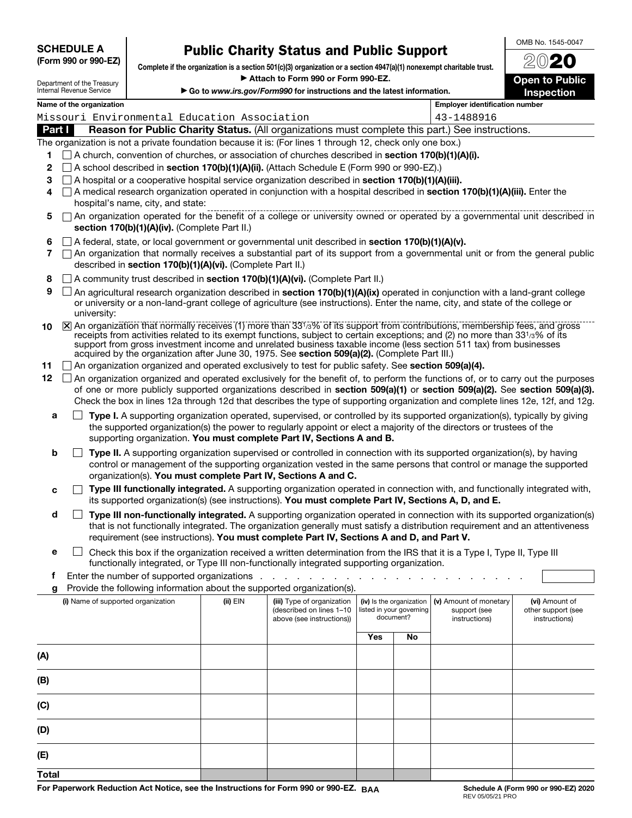#### **SCHEDULE A (Form 990 or 990-EZ)**

OMB No. 1545-0047 20**20**

| Department of the Treasury |
|----------------------------|
| Internal Revenue Service   |

**Public Charity Status and Public Support Complete if the organization is a section 501(c)(3) organization or a section 4947(a)(1) nonexempt charitable trust.** ▶ Attach to Form 990 or Form 990-EZ.

▶ Go to *www.irs.gov/Form990* for instructions and the latest information.

| 2020                  |
|-----------------------|
| <b>Open to Public</b> |
| <b>Inspection</b>     |
| . numbor              |

**(D)**

**(E) Total**

| Name of the organization                     |                                                                                                                                                                                                                               |                                                                                                                                                                                                                                                                                                                                                                                                                                                                                                 |          |                                                       | <b>Employer identification number</b> |                                       |                               |                                     |
|----------------------------------------------|-------------------------------------------------------------------------------------------------------------------------------------------------------------------------------------------------------------------------------|-------------------------------------------------------------------------------------------------------------------------------------------------------------------------------------------------------------------------------------------------------------------------------------------------------------------------------------------------------------------------------------------------------------------------------------------------------------------------------------------------|----------|-------------------------------------------------------|---------------------------------------|---------------------------------------|-------------------------------|-------------------------------------|
| Missouri Environmental Education Association |                                                                                                                                                                                                                               |                                                                                                                                                                                                                                                                                                                                                                                                                                                                                                 |          |                                                       |                                       |                                       | 43-1488916                    |                                     |
| Part I                                       |                                                                                                                                                                                                                               | Reason for Public Charity Status. (All organizations must complete this part.) See instructions.                                                                                                                                                                                                                                                                                                                                                                                                |          |                                                       |                                       |                                       |                               |                                     |
|                                              | The organization is not a private foundation because it is: (For lines 1 through 12, check only one box.)<br>$\Box$ A church, convention of churches, or association of churches described in <b>section 170(b)(1)(A)(i).</b> |                                                                                                                                                                                                                                                                                                                                                                                                                                                                                                 |          |                                                       |                                       |                                       |                               |                                     |
| 1<br>2                                       |                                                                                                                                                                                                                               | $\Box$ A school described in <b>section 170(b)(1)(A)(ii).</b> (Attach Schedule E (Form 990 or 990-EZ).)                                                                                                                                                                                                                                                                                                                                                                                         |          |                                                       |                                       |                                       |                               |                                     |
| 3                                            |                                                                                                                                                                                                                               | $\Box$ A hospital or a cooperative hospital service organization described in <b>section 170(b)(1)(A)(iii).</b>                                                                                                                                                                                                                                                                                                                                                                                 |          |                                                       |                                       |                                       |                               |                                     |
| 4                                            |                                                                                                                                                                                                                               | $\Box$ A medical research organization operated in conjunction with a hospital described in section 170(b)(1)(A)(iii). Enter the                                                                                                                                                                                                                                                                                                                                                                |          |                                                       |                                       |                                       |                               |                                     |
|                                              |                                                                                                                                                                                                                               | hospital's name, city, and state:                                                                                                                                                                                                                                                                                                                                                                                                                                                               |          |                                                       |                                       |                                       |                               |                                     |
| 5                                            |                                                                                                                                                                                                                               | □ An organization operated for the benefit of a college or university owned or operated by a governmental unit described in<br>section 170(b)(1)(A)(iv). (Complete Part II.)                                                                                                                                                                                                                                                                                                                    |          |                                                       |                                       |                                       |                               |                                     |
| 6                                            |                                                                                                                                                                                                                               | $\Box$ A federal, state, or local government or governmental unit described in section 170(b)(1)(A)(v).                                                                                                                                                                                                                                                                                                                                                                                         |          |                                                       |                                       |                                       |                               |                                     |
| 7                                            |                                                                                                                                                                                                                               | $\Box$ An organization that normally receives a substantial part of its support from a governmental unit or from the general public                                                                                                                                                                                                                                                                                                                                                             |          |                                                       |                                       |                                       |                               |                                     |
|                                              |                                                                                                                                                                                                                               | described in section 170(b)(1)(A)(vi). (Complete Part II.)                                                                                                                                                                                                                                                                                                                                                                                                                                      |          |                                                       |                                       |                                       |                               |                                     |
| 8                                            |                                                                                                                                                                                                                               | $\Box$ A community trust described in section 170(b)(1)(A)(vi). (Complete Part II.)                                                                                                                                                                                                                                                                                                                                                                                                             |          |                                                       |                                       |                                       |                               |                                     |
| 9                                            | $\Box$                                                                                                                                                                                                                        | An agricultural research organization described in section 170(b)(1)(A)(ix) operated in conjunction with a land-grant college<br>or university or a non-land-grant college of agriculture (see instructions). Enter the name, city, and state of the college or<br>university:                                                                                                                                                                                                                  |          |                                                       |                                       |                                       |                               |                                     |
| 10                                           |                                                                                                                                                                                                                               | [X] An organization that normally receives (1) more than 33 <sup>1</sup> /3% of its support from contributions, membership fees, and gross<br>receipts from activities related to its exempt functions, subject to certain exceptions; and (2) no more than 331/3% of its<br>support from gross investment income and unrelated business taxable income (less section 511 tax) from businesses<br>acquired by the organization after June 30, 1975. See section 509(a)(2). (Complete Part III.) |          |                                                       |                                       |                                       |                               |                                     |
| 11                                           |                                                                                                                                                                                                                               | $\Box$ An organization organized and operated exclusively to test for public safety. See section 509(a)(4).                                                                                                                                                                                                                                                                                                                                                                                     |          |                                                       |                                       |                                       |                               |                                     |
| 12 <sub>2</sub>                              |                                                                                                                                                                                                                               | $\Box$ An organization organized and operated exclusively for the benefit of, to perform the functions of, or to carry out the purposes                                                                                                                                                                                                                                                                                                                                                         |          |                                                       |                                       |                                       |                               |                                     |
|                                              |                                                                                                                                                                                                                               | of one or more publicly supported organizations described in section 509(a)(1) or section 509(a)(2). See section 509(a)(3).                                                                                                                                                                                                                                                                                                                                                                     |          |                                                       |                                       |                                       |                               |                                     |
|                                              |                                                                                                                                                                                                                               | Check the box in lines 12a through 12d that describes the type of supporting organization and complete lines 12e, 12f, and 12g.                                                                                                                                                                                                                                                                                                                                                                 |          |                                                       |                                       |                                       |                               |                                     |
| a                                            |                                                                                                                                                                                                                               | Type I. A supporting organization operated, supervised, or controlled by its supported organization(s), typically by giving                                                                                                                                                                                                                                                                                                                                                                     |          |                                                       |                                       |                                       |                               |                                     |
|                                              |                                                                                                                                                                                                                               | the supported organization(s) the power to regularly appoint or elect a majority of the directors or trustees of the<br>supporting organization. You must complete Part IV, Sections A and B.                                                                                                                                                                                                                                                                                                   |          |                                                       |                                       |                                       |                               |                                     |
|                                              |                                                                                                                                                                                                                               |                                                                                                                                                                                                                                                                                                                                                                                                                                                                                                 |          |                                                       |                                       |                                       |                               |                                     |
| b                                            |                                                                                                                                                                                                                               | Type II. A supporting organization supervised or controlled in connection with its supported organization(s), by having<br>control or management of the supporting organization vested in the same persons that control or manage the supported                                                                                                                                                                                                                                                 |          |                                                       |                                       |                                       |                               |                                     |
|                                              |                                                                                                                                                                                                                               | organization(s). You must complete Part IV, Sections A and C.                                                                                                                                                                                                                                                                                                                                                                                                                                   |          |                                                       |                                       |                                       |                               |                                     |
| с                                            |                                                                                                                                                                                                                               | Type III functionally integrated. A supporting organization operated in connection with, and functionally integrated with,<br>its supported organization(s) (see instructions). You must complete Part IV, Sections A, D, and E.                                                                                                                                                                                                                                                                |          |                                                       |                                       |                                       |                               |                                     |
| d                                            |                                                                                                                                                                                                                               | Type III non-functionally integrated. A supporting organization operated in connection with its supported organization(s)                                                                                                                                                                                                                                                                                                                                                                       |          |                                                       |                                       |                                       |                               |                                     |
|                                              |                                                                                                                                                                                                                               | that is not functionally integrated. The organization generally must satisfy a distribution requirement and an attentiveness<br>requirement (see instructions). You must complete Part IV, Sections A and D, and Part V.                                                                                                                                                                                                                                                                        |          |                                                       |                                       |                                       |                               |                                     |
| е                                            |                                                                                                                                                                                                                               | Check this box if the organization received a written determination from the IRS that it is a Type I, Type II, Type III                                                                                                                                                                                                                                                                                                                                                                         |          |                                                       |                                       |                                       |                               |                                     |
|                                              |                                                                                                                                                                                                                               | functionally integrated, or Type III non-functionally integrated supporting organization.                                                                                                                                                                                                                                                                                                                                                                                                       |          |                                                       |                                       |                                       |                               |                                     |
| Ť.                                           |                                                                                                                                                                                                                               | Enter the number of supported organizations<br>Provide the following information about the supported organization(s).                                                                                                                                                                                                                                                                                                                                                                           |          |                                                       |                                       |                                       |                               |                                     |
| g                                            |                                                                                                                                                                                                                               | (i) Name of supported organization                                                                                                                                                                                                                                                                                                                                                                                                                                                              | (ii) EIN | (iii) Type of organization                            |                                       | (iv) Is the organization              | (v) Amount of monetary        | (vi) Amount of                      |
|                                              |                                                                                                                                                                                                                               |                                                                                                                                                                                                                                                                                                                                                                                                                                                                                                 |          | (described on lines 1-10<br>above (see instructions)) |                                       | listed in your governing<br>document? | support (see<br>instructions) | other support (see<br>instructions) |
|                                              |                                                                                                                                                                                                                               |                                                                                                                                                                                                                                                                                                                                                                                                                                                                                                 |          |                                                       |                                       |                                       |                               |                                     |
|                                              |                                                                                                                                                                                                                               |                                                                                                                                                                                                                                                                                                                                                                                                                                                                                                 |          |                                                       | Yes                                   | No                                    |                               |                                     |
| (A)                                          |                                                                                                                                                                                                                               |                                                                                                                                                                                                                                                                                                                                                                                                                                                                                                 |          |                                                       |                                       |                                       |                               |                                     |
| (B)                                          |                                                                                                                                                                                                                               |                                                                                                                                                                                                                                                                                                                                                                                                                                                                                                 |          |                                                       |                                       |                                       |                               |                                     |
| (C)                                          |                                                                                                                                                                                                                               |                                                                                                                                                                                                                                                                                                                                                                                                                                                                                                 |          |                                                       |                                       |                                       |                               |                                     |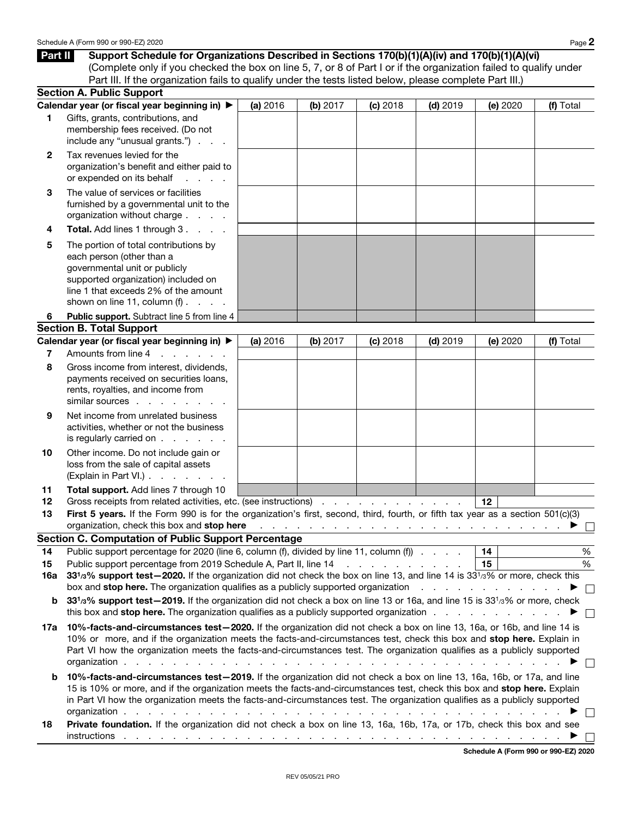**Part II** Support Schedule for Organizations Described in Sections 170(b)(1)(A)(iv) and 170(b)(1)(A)(vi) (Complete only if you checked the box on line 5, 7, or 8 of Part I or if the organization failed to qualify under Part III. If the organization fails to qualify under the tests listed below, please complete Part III.)

|                | <b>Section A. Public Support</b>                                                                                                                                                                                                                                                                                                                                                                                                                                               |          |                              |                                                                                               |            |          |                                      |
|----------------|--------------------------------------------------------------------------------------------------------------------------------------------------------------------------------------------------------------------------------------------------------------------------------------------------------------------------------------------------------------------------------------------------------------------------------------------------------------------------------|----------|------------------------------|-----------------------------------------------------------------------------------------------|------------|----------|--------------------------------------|
|                | Calendar year (or fiscal year beginning in) ▶                                                                                                                                                                                                                                                                                                                                                                                                                                  | (a) 2016 | (b) 2017                     | (c) 2018                                                                                      | $(d)$ 2019 | (e) 2020 | (f) Total                            |
| 1              | Gifts, grants, contributions, and<br>membership fees received. (Do not<br>include any "unusual grants.")                                                                                                                                                                                                                                                                                                                                                                       |          |                              |                                                                                               |            |          |                                      |
| $\mathbf{2}$   | Tax revenues levied for the<br>organization's benefit and either paid to<br>or expended on its behalf                                                                                                                                                                                                                                                                                                                                                                          |          |                              |                                                                                               |            |          |                                      |
| 3              | The value of services or facilities<br>furnished by a governmental unit to the<br>organization without charge                                                                                                                                                                                                                                                                                                                                                                  |          |                              |                                                                                               |            |          |                                      |
| 4              | <b>Total.</b> Add lines 1 through 3                                                                                                                                                                                                                                                                                                                                                                                                                                            |          |                              |                                                                                               |            |          |                                      |
| 5              | The portion of total contributions by<br>each person (other than a<br>governmental unit or publicly<br>supported organization) included on<br>line 1 that exceeds 2% of the amount<br>shown on line 11, column $(f)$ .                                                                                                                                                                                                                                                         |          |                              |                                                                                               |            |          |                                      |
| 6              | Public support. Subtract line 5 from line 4                                                                                                                                                                                                                                                                                                                                                                                                                                    |          |                              |                                                                                               |            |          |                                      |
|                | <b>Section B. Total Support</b>                                                                                                                                                                                                                                                                                                                                                                                                                                                |          |                              |                                                                                               |            |          |                                      |
|                | Calendar year (or fiscal year beginning in) ▶                                                                                                                                                                                                                                                                                                                                                                                                                                  | (a) 2016 | (b) 2017                     | (c) 2018                                                                                      | $(d)$ 2019 | (e) 2020 | (f) Total                            |
| 7              | Amounts from line 4<br>and the company of the company                                                                                                                                                                                                                                                                                                                                                                                                                          |          |                              |                                                                                               |            |          |                                      |
| 8              | Gross income from interest, dividends,<br>payments received on securities loans,<br>rents, royalties, and income from<br>similar sources                                                                                                                                                                                                                                                                                                                                       |          |                              |                                                                                               |            |          |                                      |
| 9              | Net income from unrelated business<br>activities, whether or not the business<br>is regularly carried on $\ldots$ $\ldots$ $\ldots$                                                                                                                                                                                                                                                                                                                                            |          |                              |                                                                                               |            |          |                                      |
| 10             | Other income. Do not include gain or<br>loss from the sale of capital assets<br>(Explain in Part VI.)                                                                                                                                                                                                                                                                                                                                                                          |          |                              |                                                                                               |            |          |                                      |
| 11<br>12<br>13 | Total support. Add lines 7 through 10<br>Gross receipts from related activities, etc. (see instructions)<br>First 5 years. If the Form 990 is for the organization's first, second, third, fourth, or fifth tax year as a section 501(c)(3)<br>organization, check this box and stop here                                                                                                                                                                                      |          |                              | $\mathcal{A}$ , and the contribution of the contribution of the contribution of $\mathcal{A}$ |            | 12       |                                      |
|                | <b>Section C. Computation of Public Support Percentage</b>                                                                                                                                                                                                                                                                                                                                                                                                                     |          |                              |                                                                                               |            |          |                                      |
| 14             | Public support percentage for 2020 (line 6, column (f), divided by line 11, column (f))                                                                                                                                                                                                                                                                                                                                                                                        |          |                              |                                                                                               |            | 14       | $\%$                                 |
| 15<br>16a      | Public support percentage from 2019 Schedule A, Part II, line 14<br>331/3% support test-2020. If the organization did not check the box on line 13, and line 14 is 331/3% or more, check this                                                                                                                                                                                                                                                                                  |          |                              | the contract of the contract of the                                                           |            | 15       | $\%$                                 |
| b              | box and <b>stop here.</b> The organization qualifies as a publicly supported organization<br>331/3% support test-2019. If the organization did not check a box on line 13 or 16a, and line 15 is 331/3% or more, check<br>this box and <b>stop here.</b> The organization qualifies as a publicly supported organization                                                                                                                                                       |          |                              |                                                                                               |            |          |                                      |
| 17a            | 10%-facts-and-circumstances test-2020. If the organization did not check a box on line 13, 16a, or 16b, and line 14 is<br>10% or more, and if the organization meets the facts-and-circumstances test, check this box and stop here. Explain in<br>Part VI how the organization meets the facts-and-circumstances test. The organization qualifies as a publicly supported<br>organization.<br>the contract of the contract of the contract of the contract of the contract of |          |                              |                                                                                               |            |          |                                      |
| b              | 10%-facts-and-circumstances test-2019. If the organization did not check a box on line 13, 16a, 16b, or 17a, and line<br>15 is 10% or more, and if the organization meets the facts-and-circumstances test, check this box and stop here. Explain<br>in Part VI how the organization meets the facts-and-circumstances test. The organization qualifies as a publicly supported<br>organization.                                                                               |          | and the contract of the con- |                                                                                               |            |          |                                      |
| 18             | Private foundation. If the organization did not check a box on line 13, 16a, 16b, 17a, or 17b, check this box and see                                                                                                                                                                                                                                                                                                                                                          |          |                              |                                                                                               |            |          |                                      |
|                |                                                                                                                                                                                                                                                                                                                                                                                                                                                                                |          |                              |                                                                                               |            |          | Schedule A (Form 990 or 990-EZ) 2020 |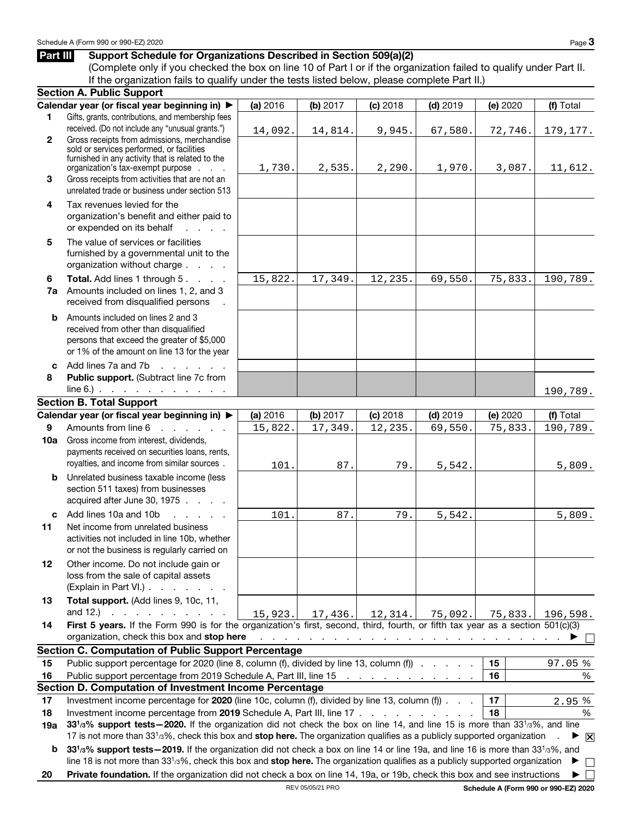### **Part III** Support Schedule for Organizations Described in Section 509(a)(2)

(Complete only if you checked the box on line 10 of Part I or if the organization failed to qualify under Part II. If the organization fails to qualify under the tests listed below, please complete Part II.)

|                | <b>Section A. Public Support</b>                                                                                                                                                                                                                                       |          |            |                                                                                       |            |          |              |
|----------------|------------------------------------------------------------------------------------------------------------------------------------------------------------------------------------------------------------------------------------------------------------------------|----------|------------|---------------------------------------------------------------------------------------|------------|----------|--------------|
|                | Calendar year (or fiscal year beginning in) ▶                                                                                                                                                                                                                          | (a) 2016 | (b) $2017$ | (c) 2018                                                                              | $(d)$ 2019 | (e) 2020 | (f) Total    |
| 1              | Gifts, grants, contributions, and membership fees                                                                                                                                                                                                                      |          |            |                                                                                       |            |          |              |
| $\overline{2}$ | received. (Do not include any "unusual grants.")<br>Gross receipts from admissions, merchandise                                                                                                                                                                        | 14,092.  | 14,814.    | 9,945.                                                                                | 67,580.    | 72,746.  | 179,177.     |
|                | sold or services performed, or facilities                                                                                                                                                                                                                              |          |            |                                                                                       |            |          |              |
|                | furnished in any activity that is related to the                                                                                                                                                                                                                       |          |            |                                                                                       |            |          |              |
| 3              | organization's tax-exempt purpose<br>Gross receipts from activities that are not an                                                                                                                                                                                    | 1,730.   | 2,535.     | 2,290.                                                                                | 1,970.     | 3,087.   | 11,612.      |
|                | unrelated trade or business under section 513                                                                                                                                                                                                                          |          |            |                                                                                       |            |          |              |
| 4              | Tax revenues levied for the<br>organization's benefit and either paid to<br>or expended on its behalf<br>and a state                                                                                                                                                   |          |            |                                                                                       |            |          |              |
| 5              | The value of services or facilities<br>furnished by a governmental unit to the<br>organization without charge                                                                                                                                                          |          |            |                                                                                       |            |          |              |
| 6              | Total. Add lines 1 through 5.                                                                                                                                                                                                                                          | 15,822.  | 17,349.    | 12,235.                                                                               | 69,550.    | 75,833.  | 190,789.     |
| 7a             | Amounts included on lines 1, 2, and 3<br>received from disqualified persons                                                                                                                                                                                            |          |            |                                                                                       |            |          |              |
| b              | Amounts included on lines 2 and 3                                                                                                                                                                                                                                      |          |            |                                                                                       |            |          |              |
|                | received from other than disqualified                                                                                                                                                                                                                                  |          |            |                                                                                       |            |          |              |
|                | persons that exceed the greater of \$5,000                                                                                                                                                                                                                             |          |            |                                                                                       |            |          |              |
|                | or 1% of the amount on line 13 for the year                                                                                                                                                                                                                            |          |            |                                                                                       |            |          |              |
| C<br>8         | Add lines 7a and 7b<br>and the company of the company of<br>Public support. (Subtract line 7c from                                                                                                                                                                     |          |            |                                                                                       |            |          |              |
|                | $line 6.)$ $\ldots$ $\ldots$ $\ldots$ $\ldots$                                                                                                                                                                                                                         |          |            |                                                                                       |            |          | 190,789.     |
|                | <b>Section B. Total Support</b>                                                                                                                                                                                                                                        |          |            |                                                                                       |            |          |              |
|                | Calendar year (or fiscal year beginning in) ▶                                                                                                                                                                                                                          | (a) 2016 | (b) $2017$ | (c) 2018                                                                              | $(d)$ 2019 | (e) 2020 | (f) Total    |
| 9              | Amounts from line 6<br>and a series of                                                                                                                                                                                                                                 | 15,822.  | 17,349.    | 12,235.                                                                               | 69,550.    | 75,833.  | 190,789.     |
| 10a            | Gross income from interest, dividends,<br>payments received on securities loans, rents,<br>royalties, and income from similar sources.                                                                                                                                 |          |            |                                                                                       |            |          |              |
|                | Unrelated business taxable income (less                                                                                                                                                                                                                                | 101.     | 87.        | 79.                                                                                   | 5,542.     |          | 5,809.       |
| b              | section 511 taxes) from businesses<br>acquired after June 30, 1975                                                                                                                                                                                                     |          |            |                                                                                       |            |          |              |
|                | c Add lines 10a and 10b<br>a na manazarta                                                                                                                                                                                                                              | 101.     | 87.        | 79.                                                                                   | 5,542.     |          | 5,809.       |
| 11             | Net income from unrelated business<br>activities not included in line 10b, whether<br>or not the business is regularly carried on                                                                                                                                      |          |            |                                                                                       |            |          |              |
| 12             | Other income. Do not include gain or<br>loss from the sale of capital assets<br>(Explain in Part VI.)                                                                                                                                                                  |          |            |                                                                                       |            |          |              |
| 13             | Total support. (Add lines 9, 10c, 11,                                                                                                                                                                                                                                  |          |            |                                                                                       |            |          |              |
|                | and $12.$ )<br>the contract of the contract of the                                                                                                                                                                                                                     | 15,923.  | 17,436.    | 12, 314.                                                                              | 75,092.    | 75,833.  | 196,598.     |
| 14             | First 5 years. If the Form 990 is for the organization's first, second, third, fourth, or fifth tax year as a section 501(c)(3)<br>organization, check this box and stop here                                                                                          |          |            | والمتعاون والمتعاون والمتعاونة والمتعاونة والمتعاونة والمتعاونة والمتعاونة والمتعاونة |            |          |              |
|                | <b>Section C. Computation of Public Support Percentage</b>                                                                                                                                                                                                             |          |            |                                                                                       |            |          |              |
| 15             | Public support percentage for 2020 (line 8, column (f), divided by line 13, column (f)                                                                                                                                                                                 |          |            |                                                                                       |            | 15       | 97.05 %      |
| 16             | Public support percentage from 2019 Schedule A, Part III, line 15                                                                                                                                                                                                      |          |            | and a series of the company of the                                                    |            | 16       | %            |
|                | Section D. Computation of Investment Income Percentage                                                                                                                                                                                                                 |          |            |                                                                                       |            |          |              |
| 17             | Investment income percentage for 2020 (line 10c, column (f), divided by line 13, column (f)                                                                                                                                                                            |          |            |                                                                                       |            | 17       | 2.95 %       |
| 18             | Investment income percentage from 2019 Schedule A, Part III, line 17                                                                                                                                                                                                   |          |            |                                                                                       |            | 18       | %            |
| 19а            | 331/3% support tests - 2020. If the organization did not check the box on line 14, and line 15 is more than 331/3%, and line<br>17 is not more than 33 <sup>1</sup> /3%, check this box and stop here. The organization qualifies as a publicly supported organization |          |            |                                                                                       |            |          |              |
| b              | 331/3% support tests - 2019. If the organization did not check a box on line 14 or line 19a, and line 16 is more than 331/3%, and                                                                                                                                      |          |            |                                                                                       |            |          | ▶ ⊠          |
|                | line 18 is not more than $3313%$ , check this box and stop here. The organization qualifies as a publicly supported organization                                                                                                                                       |          |            |                                                                                       |            |          | $\Box$<br>▶  |
| 20             | Private foundation. If the organization did not check a box on line 14, 19a, or 19b, check this box and see instructions                                                                                                                                               |          |            |                                                                                       |            |          | $\perp$<br>▶ |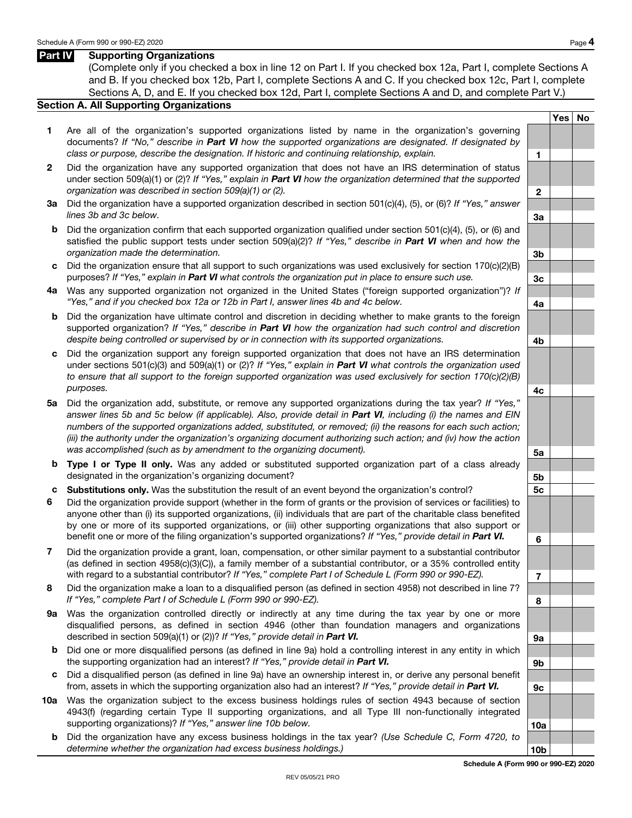### **Part IV Supporting Organizations**

(Complete only if you checked a box in line 12 on Part I. If you checked box 12a, Part I, complete Sections A and B. If you checked box 12b, Part I, complete Sections A and C. If you checked box 12c, Part I, complete Sections A, D, and E. If you checked box 12d, Part I, complete Sections A and D, and complete Part V.)

#### **Section A. All Supporting Organizations**

- **1** Are all of the organization's supported organizations listed by name in the organization's governing documents? If "No," describe in *Part VI* how the supported organizations are designated. If designated by class or purpose, describe the designation. If historic and continuing relationship, explain. **1**
- **2** Did the organization have any supported organization that does not have an IRS determination of status under section 509(a)(1) or (2)? If "Yes," explain in *Part VI* how the organization determined that the supported organization was described in section 509(a)(1) or (2). **2**
- **3a** Did the organization have a supported organization described in section 501(c)(4), (5), or (6)? If "Yes," answer lines 3b and 3c below. **3a**
- **b** Did the organization confirm that each supported organization qualified under section 501(c)(4), (5), or (6) and satisfied the public support tests under section 509(a)(2)? If "Yes," describe in **Part VI** when and how the organization made the determination. **3b**
- **c** Did the organization ensure that all support to such organizations was used exclusively for section 170(c)(2)(B) purposes? If "Yes," explain in *Part VI* what controls the organization put in place to ensure such use. **3c**
- **4a** Was any supported organization not organized in the United States ("foreign supported organization")? If "Yes," and if you checked box 12a or 12b in Part I, answer lines 4b and 4c below. **4a**
- **b** Did the organization have ultimate control and discretion in deciding whether to make grants to the foreign supported organization? If "Yes," describe in *Part VI* how the organization had such control and discretion despite being controlled or supervised by or in connection with its supported organizations. **4b**
- **c** Did the organization support any foreign supported organization that does not have an IRS determination under sections 501(c)(3) and 509(a)(1) or (2)? If "Yes," explain in *Part VI* what controls the organization used to ensure that all support to the foreign supported organization was used exclusively for section 170(c)(2)(B) purposes. **4c**
- **5a** Did the organization add, substitute, or remove any supported organizations during the tax year? If "Yes," answer lines 5b and 5c below (if applicable). Also, provide detail in *Part VI*, including (i) the names and EIN numbers of the supported organizations added, substituted, or removed; (ii) the reasons for each such action; (iii) the authority under the organization's organizing document authorizing such action; and (iv) how the action was accomplished (such as by amendment to the organizing document). **5a**
- **b Type I or Type II only.** Was any added or substituted supported organization part of a class already designated in the organization's organizing document? **5b**
- **c Substitutions only.** Was the substitution the result of an event beyond the organization's control? **5c**
- **6** Did the organization provide support (whether in the form of grants or the provision of services or facilities) to anyone other than (i) its supported organizations, (ii) individuals that are part of the charitable class benefited by one or more of its supported organizations, or (iii) other supporting organizations that also support or benefit one or more of the filing organization's supported organizations? If "Yes," provide detail in *Part VI.* **<sup>6</sup>**
- **7** Did the organization provide a grant, loan, compensation, or other similar payment to a substantial contributor (as defined in section 4958(c)(3)(C)), a family member of a substantial contributor, or a 35% controlled entity with regard to a substantial contributor? If "Yes," complete Part I of Schedule L (Form 990 or 990-EZ).
- **8** Did the organization make a loan to a disqualified person (as defined in section 4958) not described in line 7? If "Yes," complete Part I of Schedule L (Form 990 or 990-EZ). **8**
- **9a** Was the organization controlled directly or indirectly at any time during the tax year by one or more disqualified persons, as defined in section 4946 (other than foundation managers and organizations described in section 509(a)(1) or (2))? If "Yes," provide detail in **Part VI. 1998**
- **b** Did one or more disqualified persons (as defined in line 9a) hold a controlling interest in any entity in which the supporting organization had an interest? If "Yes," provide detail in **Part VI. 9b 9b**
- **c** Did a disqualified person (as defined in line 9a) have an ownership interest in, or derive any personal benefit from, assets in which the supporting organization also had an interest? If "Yes," provide detail in *Part VI.* **9c**
- **10a** Was the organization subject to the excess business holdings rules of section 4943 because of section 4943(f) (regarding certain Type II supporting organizations, and all Type III non-functionally integrated supporting organizations)? If "Yes," answer line 10b below. **10a** and the state of the state of the 10a
	- **b** Did the organization have any excess business holdings in the tax year? (Use Schedule C, Form 4720, to determine whether the organization had excess business holdings.) **10b**

**Yes No**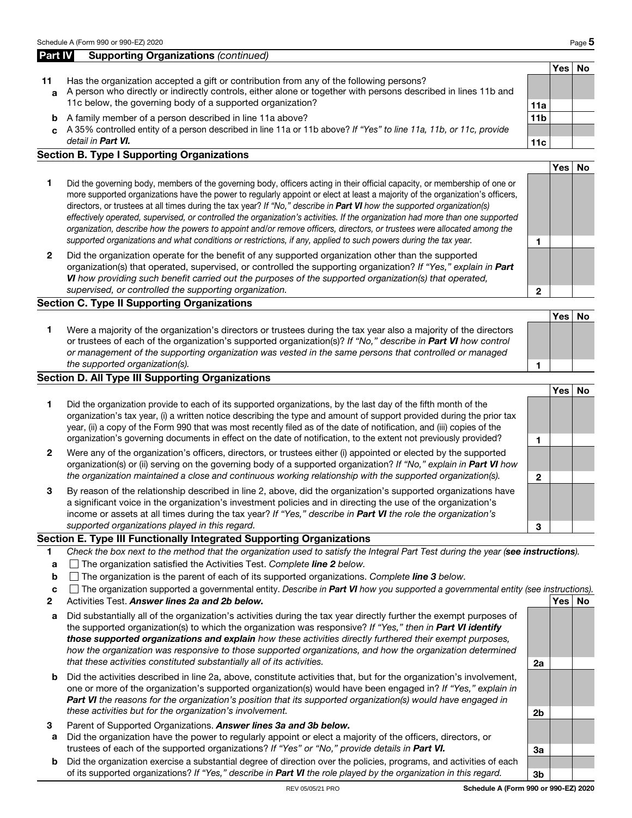#### **Part IV** Supporting Organizations (continued)

- **11** Has the organization accepted a gift or contribution from any of the following persons? **a** A person who directly or indirectly controls, either alone or together with persons described in lines 11b and
	- 11c below, the governing body of a supported organization? **11a**
	- **b** A family member of a person described in line 11a above? **11b 11b**
- **c** A 35% controlled entity of a person described in line 11a or 11b above? If "Yes" to line 11a, 11b, or 11c, provide detail in *Part VI.* **11c Section B. Type I Supporting Organizations**

- **1** Did the governing body, members of the governing body, officers acting in their official capacity, or membership of one or more supported organizations have the power to regularly appoint or elect at least a majority of the organization's officers, directors, or trustees at all times during the tax year? If "No," describe in *Part VI* how the supported organization(s) effectively operated, supervised, or controlled the organization's activities. If the organization had more than one supported organization, describe how the powers to appoint and/or remove officers, directors, or trustees were allocated among the supported organizations and what conditions or restrictions, if any, applied to such powers during the tax year. **1**
- **2** Did the organization operate for the benefit of any supported organization other than the supported organization(s) that operated, supervised, or controlled the supporting organization? If "Yes," explain in *Part VI* how providing such benefit carried out the purposes of the supported organization(s) that operated, supervised, or controlled the supporting organization. **2**

### **Section C. Type II Supporting Organizations**

**1** Were a majority of the organization's directors or trustees during the tax year also a majority of the directors or trustees of each of the organization's supported organization(s)? If "No," describe in *Part VI* how control or management of the supporting organization was vested in the same persons that controlled or managed the supported organization(s). **1** 

#### **Section D. All Type III Supporting Organizations**

**Yes No 1** Did the organization provide to each of its supported organizations, by the last day of the fifth month of the organization's tax year, (i) a written notice describing the type and amount of support provided during the prior tax year, (ii) a copy of the Form 990 that was most recently filed as of the date of notification, and (iii) copies of the organization's governing documents in effect on the date of notification, to the extent not previously provided? **1 2** Were any of the organization's officers, directors, or trustees either (i) appointed or elected by the supported organization(s) or (ii) serving on the governing body of a supported organization? If "No," explain in *Part VI* how the organization maintained a close and continuous working relationship with the supported organization(s). **2 3** By reason of the relationship described in line 2, above, did the organization's supported organizations have a significant voice in the organization's investment policies and in directing the use of the organization's income or assets at all times during the tax year? If "Yes," describe in *Part VI* the role the organization's

supported organizations played in this regard. **3**

## **Section E. Type III Functionally Integrated Supporting Organizations**

- **1** Check the box next to the method that the organization used to satisfy the Integral Part Test during the year (see instructions).<br>**a** □ The organization satisfied the Activities Test. Complete line 2 below.
- **a** □ The organization satisfied the Activities Test. Complete **line 2** below.<br>**b** □ The organization is the parent of each of its supported organizations.
- **b** The organization is the parent of each of its supported organizations. Complete **line 3** below.<br>**c** The organization supported a governmental entity. Describe in **Part VI** how you supported a gover
- **c** □ The organization supported a governmental entity. Describe in **Part VI** how you supported a governmental entity (see instructions).<br>2 Activities Test. Answer lines 2a and 2b below.
- **22** Activities Test. **Answer lines 2a and 2b below.**
- **a** Did substantially all of the organization's activities during the tax year directly further the exempt purposes of the supported organization(s) to which the organization was responsive? If "Yes," then in *Part VI identify those supported organizations and explain* how these activities directly furthered their exempt purposes, how the organization was responsive to those supported organizations, and how the organization determined that these activities constituted substantially all of its activities. **2a**
- **b** Did the activities described in line 2a, above, constitute activities that, but for the organization's involvement, one or more of the organization's supported organization(s) would have been engaged in? If "Yes," explain in **Part VI** the reasons for the organization's position that its supported organization(s) would have engaged in these activities but for the organization's involvement. **2b**
- **<sup>3</sup>** Parent of Supported Organizations. *Answer lines 3a and 3b below.*
- **a** Did the organization have the power to regularly appoint or elect a majority of the officers, directors, or trustees of each of the supported organizations? If "Yes" or "No," provide details in *Part VI.* **3a**
- **b** Did the organization exercise a substantial degree of direction over the policies, programs, and activities of each of its supported organizations? If "Yes," describe in *Part VI* the role played by the organization in this regard. **3b**

**Yes No**

**Yes No**

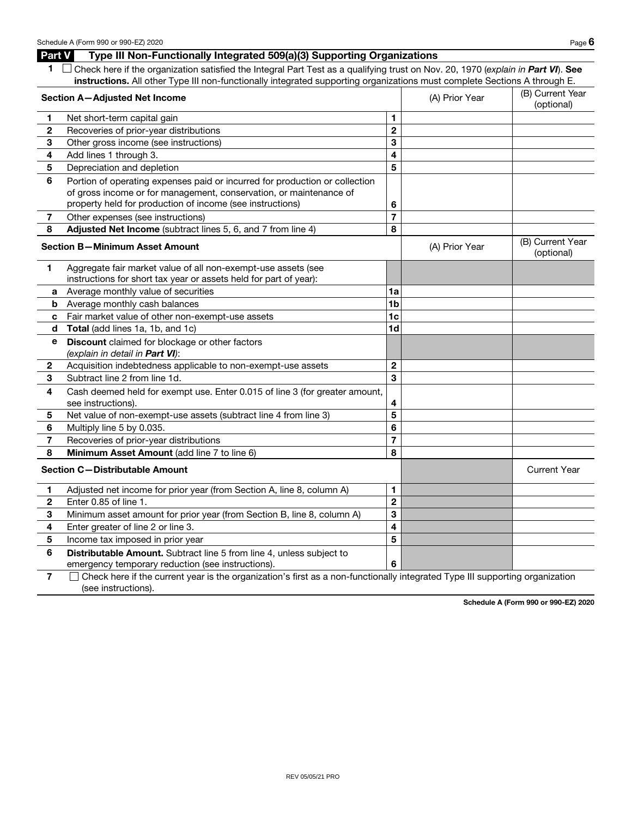### **Part V Type III Non-Functionally Integrated 509(a)(3) Supporting Organizations**

**<sup>1</sup>** Check here if the organization satisfied the Integral Part Test as a qualifying trust on Nov. 20, 1970 (explain in *Part VI*). **See instructions.** All other Type III non-functionally integrated supporting organizations must complete Sections A through E.

|                | Section A-Adjusted Net Income                                                                     |                         | (A) Prior Year | (B) Current Year<br>(optional) |
|----------------|---------------------------------------------------------------------------------------------------|-------------------------|----------------|--------------------------------|
| 1              | Net short-term capital gain                                                                       | 1                       |                |                                |
| $\mathbf{2}$   | Recoveries of prior-year distributions                                                            | $\overline{2}$          |                |                                |
| 3              | Other gross income (see instructions)                                                             | 3                       |                |                                |
| 4              | Add lines 1 through 3.                                                                            | $\overline{\mathbf{4}}$ |                |                                |
| 5              | Depreciation and depletion                                                                        | 5                       |                |                                |
| 6              | Portion of operating expenses paid or incurred for production or collection                       |                         |                |                                |
|                | of gross income or for management, conservation, or maintenance of                                |                         |                |                                |
|                | property held for production of income (see instructions)                                         | 6                       |                |                                |
| 7              | Other expenses (see instructions)                                                                 | $\overline{7}$          |                |                                |
| 8              | Adjusted Net Income (subtract lines 5, 6, and 7 from line 4)                                      | 8                       |                |                                |
|                | <b>Section B-Minimum Asset Amount</b>                                                             |                         | (A) Prior Year | (B) Current Year<br>(optional) |
| 1              | Aggregate fair market value of all non-exempt-use assets (see                                     |                         |                |                                |
|                | instructions for short tax year or assets held for part of year):                                 |                         |                |                                |
| a              | Average monthly value of securities                                                               | 1a                      |                |                                |
| b              | Average monthly cash balances                                                                     | 1 <sub>b</sub>          |                |                                |
| c              | Fair market value of other non-exempt-use assets                                                  | 1 <sub>c</sub>          |                |                                |
| d              | Total (add lines 1a, 1b, and 1c)                                                                  | 1 <sub>d</sub>          |                |                                |
| е              | Discount claimed for blockage or other factors<br>(explain in detail in Part VI):                 |                         |                |                                |
| 2              | Acquisition indebtedness applicable to non-exempt-use assets                                      | $\overline{2}$          |                |                                |
| 3              | Subtract line 2 from line 1d.                                                                     | $\overline{3}$          |                |                                |
| 4              | Cash deemed held for exempt use. Enter 0.015 of line 3 (for greater amount,<br>see instructions). | 4                       |                |                                |
| 5              | Net value of non-exempt-use assets (subtract line 4 from line 3)                                  | 5                       |                |                                |
| 6              | Multiply line 5 by 0.035.                                                                         | 6                       |                |                                |
| 7              | Recoveries of prior-year distributions                                                            | $\overline{\mathbf{r}}$ |                |                                |
| 8              | Minimum Asset Amount (add line 7 to line 6)                                                       | 8                       |                |                                |
|                | <b>Section C-Distributable Amount</b>                                                             |                         |                | <b>Current Year</b>            |
| 1              | Adjusted net income for prior year (from Section A, line 8, column A)                             | $\mathbf{1}$            |                |                                |
| $\overline{2}$ | Enter 0.85 of line 1.                                                                             | $\overline{2}$          |                |                                |
| 3              | Minimum asset amount for prior year (from Section B, line 8, column A)                            | 3                       |                |                                |
| 4              | Enter greater of line 2 or line 3.                                                                | $\overline{\mathbf{4}}$ |                |                                |
| 5              | Income tax imposed in prior year                                                                  | 5                       |                |                                |
| 6              | Distributable Amount. Subtract line 5 from line 4, unless subject to                              |                         |                |                                |
|                | emergency temporary reduction (see instructions).                                                 | 6                       |                |                                |

**7** □ Check here if the current year is the organization's first as a non-functionally integrated Type III supporting organization (see instructions).

**Schedule A (Form 990 or 990-EZ) 2020**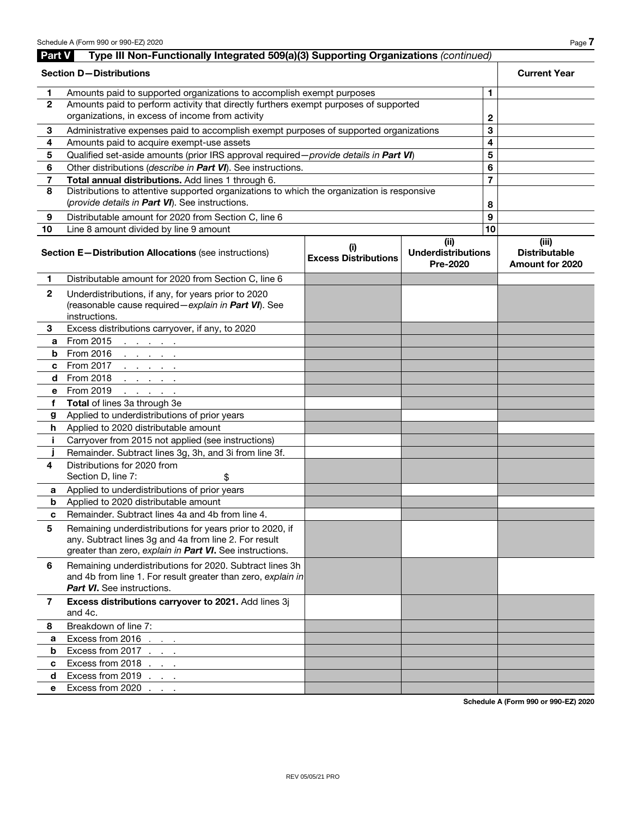| <b>Part V</b> | Type III Non-Functionally Integrated 509(a)(3) Supporting Organizations (continued)                                                                           |                                    |                                               |                |                                                  |
|---------------|---------------------------------------------------------------------------------------------------------------------------------------------------------------|------------------------------------|-----------------------------------------------|----------------|--------------------------------------------------|
|               | <b>Section D-Distributions</b>                                                                                                                                |                                    |                                               |                | <b>Current Year</b>                              |
| 1.            | Amounts paid to supported organizations to accomplish exempt purposes                                                                                         |                                    |                                               | 1.             |                                                  |
| $\mathbf 2$   | Amounts paid to perform activity that directly furthers exempt purposes of supported                                                                          |                                    |                                               |                |                                                  |
|               | organizations, in excess of income from activity                                                                                                              |                                    |                                               | $\mathbf{2}$   |                                                  |
| З             | Administrative expenses paid to accomplish exempt purposes of supported organizations                                                                         |                                    |                                               | 3              |                                                  |
| 4             | Amounts paid to acquire exempt-use assets                                                                                                                     |                                    |                                               | 4              |                                                  |
| 5             | Qualified set-aside amounts (prior IRS approval required - provide details in Part VI)                                                                        |                                    |                                               | 5              |                                                  |
| 6             | Other distributions (describe in Part VI). See instructions.                                                                                                  |                                    |                                               | 6              |                                                  |
| 7             | Total annual distributions. Add lines 1 through 6.                                                                                                            |                                    |                                               | $\overline{7}$ |                                                  |
| 8             | Distributions to attentive supported organizations to which the organization is responsive                                                                    |                                    |                                               |                |                                                  |
|               | (provide details in Part VI). See instructions.                                                                                                               |                                    |                                               | 8              |                                                  |
| 9             | Distributable amount for 2020 from Section C, line 6                                                                                                          |                                    |                                               | 9              |                                                  |
| 10            | Line 8 amount divided by line 9 amount                                                                                                                        |                                    |                                               | 10             |                                                  |
|               | Section E-Distribution Allocations (see instructions)                                                                                                         | (i)<br><b>Excess Distributions</b> | (ii)<br><b>Underdistributions</b><br>Pre-2020 |                | (iii)<br><b>Distributable</b><br>Amount for 2020 |
| 1.            | Distributable amount for 2020 from Section C, line 6                                                                                                          |                                    |                                               |                |                                                  |
| $\mathbf{2}$  | Underdistributions, if any, for years prior to 2020                                                                                                           |                                    |                                               |                |                                                  |
|               | (reasonable cause required - explain in Part VI). See                                                                                                         |                                    |                                               |                |                                                  |
|               | instructions.                                                                                                                                                 |                                    |                                               |                |                                                  |
| 3             | Excess distributions carryover, if any, to 2020                                                                                                               |                                    |                                               |                |                                                  |
| a             | From 2015<br>and a state of the                                                                                                                               |                                    |                                               |                |                                                  |
| b             | From 2016 $\ldots$ $\ldots$                                                                                                                                   |                                    |                                               |                |                                                  |
| c             | From 2017<br>and a strategic and                                                                                                                              |                                    |                                               |                |                                                  |
| d             | From 2018<br>the contract of the con-                                                                                                                         |                                    |                                               |                |                                                  |
| е             | From 2019<br>and a state of the                                                                                                                               |                                    |                                               |                |                                                  |
| f             | Total of lines 3a through 3e                                                                                                                                  |                                    |                                               |                |                                                  |
| g             | Applied to underdistributions of prior years                                                                                                                  |                                    |                                               |                |                                                  |
| h.            | Applied to 2020 distributable amount                                                                                                                          |                                    |                                               |                |                                                  |
| i.            | Carryover from 2015 not applied (see instructions)                                                                                                            |                                    |                                               |                |                                                  |
| J             | Remainder. Subtract lines 3g, 3h, and 3i from line 3f.                                                                                                        |                                    |                                               |                |                                                  |
| 4             | Distributions for 2020 from                                                                                                                                   |                                    |                                               |                |                                                  |
|               | Section D, line 7:<br>\$                                                                                                                                      |                                    |                                               |                |                                                  |
| a             | Applied to underdistributions of prior years                                                                                                                  |                                    |                                               |                |                                                  |
| b             | Applied to 2020 distributable amount                                                                                                                          |                                    |                                               |                |                                                  |
| c             | Remainder. Subtract lines 4a and 4b from line 4.                                                                                                              |                                    |                                               |                |                                                  |
| 5             | Remaining underdistributions for years prior to 2020, if                                                                                                      |                                    |                                               |                |                                                  |
|               | any. Subtract lines 3g and 4a from line 2. For result                                                                                                         |                                    |                                               |                |                                                  |
|               | greater than zero, explain in Part VI. See instructions.                                                                                                      |                                    |                                               |                |                                                  |
| 6             | Remaining underdistributions for 2020. Subtract lines 3h<br>and 4b from line 1. For result greater than zero, explain in<br><b>Part VI.</b> See instructions. |                                    |                                               |                |                                                  |
| 7             | Excess distributions carryover to 2021. Add lines 3j<br>and 4c.                                                                                               |                                    |                                               |                |                                                  |
| 8             | Breakdown of line 7:                                                                                                                                          |                                    |                                               |                |                                                  |
| a             | Excess from 2016                                                                                                                                              |                                    |                                               |                |                                                  |
| b             | Excess from 2017 $\ldots$                                                                                                                                     |                                    |                                               |                |                                                  |
| c             | Excess from 2018 $\ldots$                                                                                                                                     |                                    |                                               |                |                                                  |
| d             | Excess from 2019 $\ldots$                                                                                                                                     |                                    |                                               |                |                                                  |
| е             | Excess from 2020                                                                                                                                              |                                    |                                               |                |                                                  |

**Schedule A (Form 990 or 990-EZ) 2020**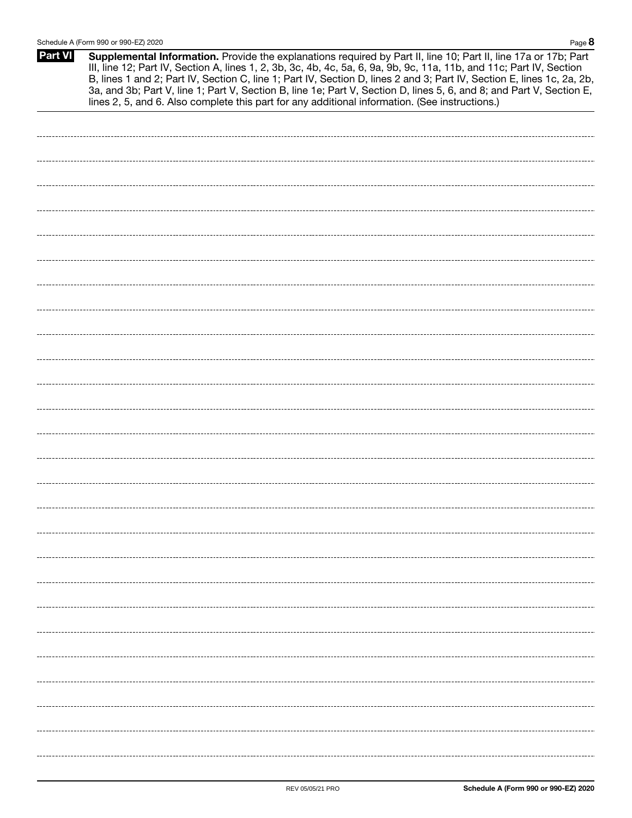| <b>Part VI</b> | Supplemental Information. Provide the explanations required by Part II, line 10; Part II, line 17a or 17b; Part<br>III, line 12; Part IV, Section A, lines 1, 2, 3b, 3c, 4b, 4c, 5a, 6, 9a, 9b, 9c, 11a, 11b, and 11c; Part IV, Section<br>B, lines 1 and 2; Part IV, Section C, line 1; Part IV, Section D, lines 2 and 3; Part IV, Section E, lines 1c, 2a, 2b,<br>3a, and 3b; Part V, line 1; Part V, Section B, line 1e; Part V, Section D, lines 5, 6, and 8; and Part V, Section E,<br>lines 2, 5, and 6. Also complete this part for any additional information. (See instructions.) |
|----------------|---------------------------------------------------------------------------------------------------------------------------------------------------------------------------------------------------------------------------------------------------------------------------------------------------------------------------------------------------------------------------------------------------------------------------------------------------------------------------------------------------------------------------------------------------------------------------------------------|
|                |                                                                                                                                                                                                                                                                                                                                                                                                                                                                                                                                                                                             |
|                |                                                                                                                                                                                                                                                                                                                                                                                                                                                                                                                                                                                             |
|                |                                                                                                                                                                                                                                                                                                                                                                                                                                                                                                                                                                                             |
|                |                                                                                                                                                                                                                                                                                                                                                                                                                                                                                                                                                                                             |
|                |                                                                                                                                                                                                                                                                                                                                                                                                                                                                                                                                                                                             |
|                |                                                                                                                                                                                                                                                                                                                                                                                                                                                                                                                                                                                             |
|                |                                                                                                                                                                                                                                                                                                                                                                                                                                                                                                                                                                                             |
|                |                                                                                                                                                                                                                                                                                                                                                                                                                                                                                                                                                                                             |
|                |                                                                                                                                                                                                                                                                                                                                                                                                                                                                                                                                                                                             |
|                |                                                                                                                                                                                                                                                                                                                                                                                                                                                                                                                                                                                             |
|                |                                                                                                                                                                                                                                                                                                                                                                                                                                                                                                                                                                                             |
|                |                                                                                                                                                                                                                                                                                                                                                                                                                                                                                                                                                                                             |
|                |                                                                                                                                                                                                                                                                                                                                                                                                                                                                                                                                                                                             |
|                |                                                                                                                                                                                                                                                                                                                                                                                                                                                                                                                                                                                             |
|                |                                                                                                                                                                                                                                                                                                                                                                                                                                                                                                                                                                                             |
|                |                                                                                                                                                                                                                                                                                                                                                                                                                                                                                                                                                                                             |
|                |                                                                                                                                                                                                                                                                                                                                                                                                                                                                                                                                                                                             |
|                |                                                                                                                                                                                                                                                                                                                                                                                                                                                                                                                                                                                             |
|                |                                                                                                                                                                                                                                                                                                                                                                                                                                                                                                                                                                                             |
|                |                                                                                                                                                                                                                                                                                                                                                                                                                                                                                                                                                                                             |
|                |                                                                                                                                                                                                                                                                                                                                                                                                                                                                                                                                                                                             |
|                |                                                                                                                                                                                                                                                                                                                                                                                                                                                                                                                                                                                             |
|                |                                                                                                                                                                                                                                                                                                                                                                                                                                                                                                                                                                                             |
|                |                                                                                                                                                                                                                                                                                                                                                                                                                                                                                                                                                                                             |
|                |                                                                                                                                                                                                                                                                                                                                                                                                                                                                                                                                                                                             |
|                |                                                                                                                                                                                                                                                                                                                                                                                                                                                                                                                                                                                             |
|                |                                                                                                                                                                                                                                                                                                                                                                                                                                                                                                                                                                                             |
|                |                                                                                                                                                                                                                                                                                                                                                                                                                                                                                                                                                                                             |
|                |                                                                                                                                                                                                                                                                                                                                                                                                                                                                                                                                                                                             |
|                |                                                                                                                                                                                                                                                                                                                                                                                                                                                                                                                                                                                             |
|                |                                                                                                                                                                                                                                                                                                                                                                                                                                                                                                                                                                                             |
|                |                                                                                                                                                                                                                                                                                                                                                                                                                                                                                                                                                                                             |
|                |                                                                                                                                                                                                                                                                                                                                                                                                                                                                                                                                                                                             |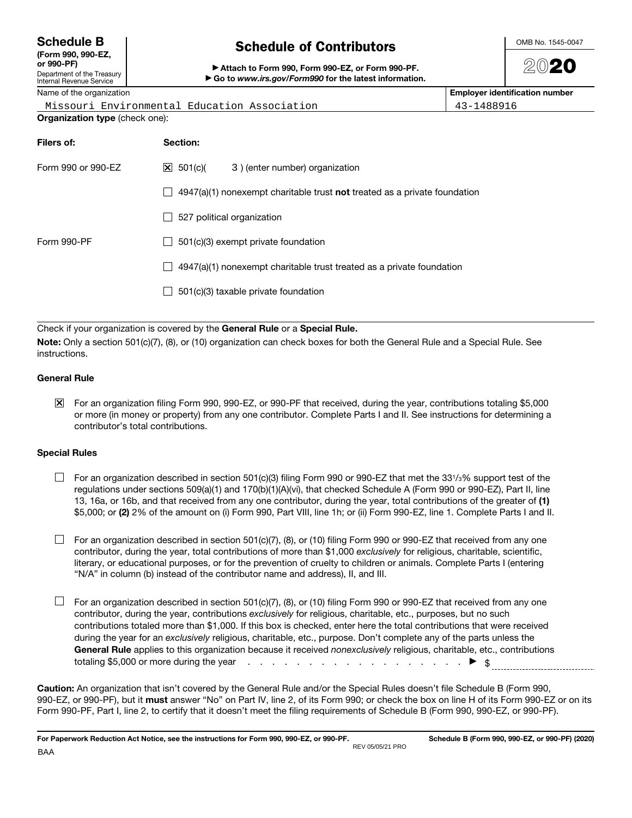| <b>Schedule B</b> |  |
|-------------------|--|
|-------------------|--|

| (Form 990, 990-EZ,         |
|----------------------------|
| or 990-PF)                 |
| Department of the Treasury |

Internal Revenue Service

# **Schedule of Contributors**

OMB No. 1545-0047

20**20**

| Name of the organization                                                         |                                                          | <b>Employer identification number</b> |  |  |  |
|----------------------------------------------------------------------------------|----------------------------------------------------------|---------------------------------------|--|--|--|
| Missouri Environmental Education Association                                     | 43-1488916                                               |                                       |  |  |  |
| <b>Organization type (check one):</b>                                            |                                                          |                                       |  |  |  |
| Filers of:                                                                       | Section:                                                 |                                       |  |  |  |
| Form 990 or 990-EZ                                                               | $ \mathsf{x} $ 501(c)(<br>3) (enter number) organization |                                       |  |  |  |
| $\Box$ 4947(a)(1) nonexempt charitable trust not treated as a private foundation |                                                          |                                       |  |  |  |
| $\Box$ 527 political organization                                                |                                                          |                                       |  |  |  |
| Form 990-PF                                                                      | 501(c)(3) exempt private foundation                      |                                       |  |  |  |

| $\Box$ 4947(a)(1) nonexempt charitable trust treated as a private foundation |  |  |
|------------------------------------------------------------------------------|--|--|
| $\Box$ 501(c)(3) taxable private foundation                                  |  |  |

Check if your organization is covered by the **General Rule** or a **Special Rule.**

**Note:** Only a section 501(c)(7), (8), or (10) organization can check boxes for both the General Rule and a Special Rule. See instructions.

### **General Rule**

For an organization filing Form 990, 990-EZ, or 990-PF that received, during the year, contributions totaling \$5,000 or more (in money or property) from any one contributor. Complete Parts I and II. See instructions for determining a contributor's total contributions.

### **Special Rules**

 $\Box$  For an organization described in section 501(c)(3) filing Form 990 or 990-EZ that met the 331/3% support test of the regulations under sections 509(a)(1) and 170(b)(1)(A)(vi), that checked Schedule A (Form 990 or 990-EZ), Part II, line 13, 16a, or 16b, and that received from any one contributor, during the year, total contributions of the greater of **(1)**  \$5,000; or **(2)** 2% of the amount on (i) Form 990, Part VIII, line 1h; or (ii) Form 990-EZ, line 1. Complete Parts I and II.

 $\Box$  For an organization described in section 501(c)(7), (8), or (10) filing Form 990 or 990-EZ that received from any one contributor, during the year, total contributions of more than \$1,000 exclusively for religious, charitable, scientific, literary, or educational purposes, or for the prevention of cruelty to children or animals. Complete Parts I (entering "N/A" in column (b) instead of the contributor name and address), II, and III.

 $\Box$  For an organization described in section 501(c)(7), (8), or (10) filing Form 990 or 990-EZ that received from any one contributor, during the year, contributions exclusively for religious, charitable, etc., purposes, but no such contributions totaled more than \$1,000. If this box is checked, enter here the total contributions that were received during the year for an exclusively religious, charitable, etc., purpose. Don't complete any of the parts unless the General Rule applies to this organization because it received nonexclusively religious, charitable, etc., contributions totaling \$5,000 or more during the year . . . . . . . . . . . . . . . . . . <sup>a</sup> \$

**Caution:** An organization that isn't covered by the General Rule and/or the Special Rules doesn't file Schedule B (Form 990, 990-EZ, or 990-PF), but it **must** answer "No" on Part IV, line 2, of its Form 990; or check the box on line H of its Form 990-EZ or on its Form 990-PF, Part I, line 2, to certify that it doesn't meet the filing requirements of Schedule B (Form 990, 990-EZ, or 990-PF).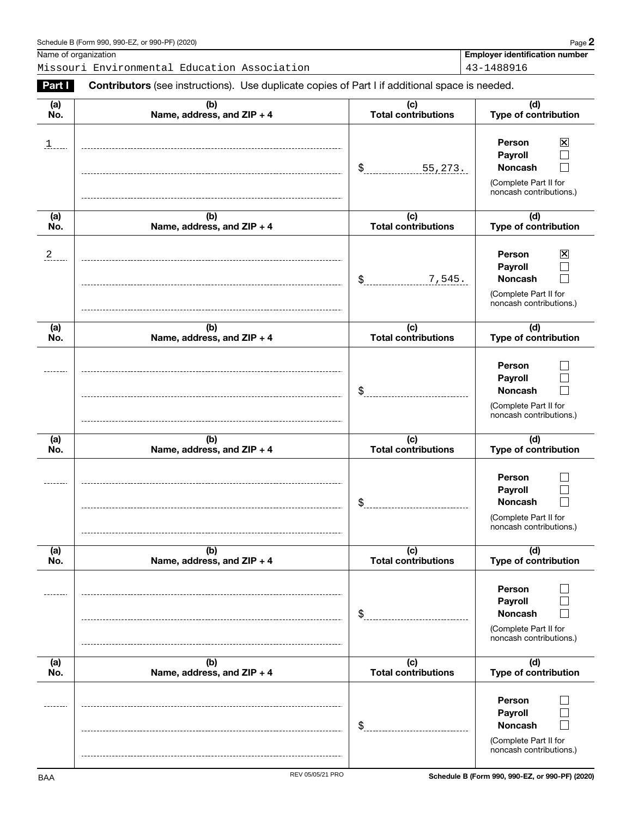| Schedule B (Form 990, 990-EZ, or 990-PF) (2020) | $P$ age $\geq$ |
|-------------------------------------------------|----------------|
|-------------------------------------------------|----------------|

Name of organization **Employer identification number**

Missouri Environmental Education Association 43-1488916

**Part I Contributors** (see instructions). Use duplicate copies of Part I if additional space is needed.

| (a)             | (b)                          | (c)                        | (d)                                                                                                           |
|-----------------|------------------------------|----------------------------|---------------------------------------------------------------------------------------------------------------|
| No.             | Name, address, and ZIP + 4   | <b>Total contributions</b> | Type of contribution                                                                                          |
| 1               |                              | \$<br>55, 273.             | ⊠<br>Person<br>Payroll<br><b>Noncash</b><br>(Complete Part II for<br>noncash contributions.)                  |
| (a)             | (b)                          | (c)                        | (d)                                                                                                           |
| No.             | Name, address, and ZIP + 4   | <b>Total contributions</b> | Type of contribution                                                                                          |
| $\frac{2}{\pi}$ |                              | \$<br>7,545.               | $\boxtimes$<br><b>Person</b><br>Payroll<br><b>Noncash</b><br>(Complete Part II for<br>noncash contributions.) |
| (a)             | (b)                          | (c)                        | (d)                                                                                                           |
| No.             | Name, address, and ZIP + 4   | <b>Total contributions</b> | Type of contribution                                                                                          |
|                 |                              | \$                         | Person<br>Payroll<br><b>Noncash</b><br>(Complete Part II for<br>noncash contributions.)                       |
| (a)             | (b)                          | (c)                        | (d)                                                                                                           |
| No.             | Name, address, and ZIP + 4   | <b>Total contributions</b> | Type of contribution                                                                                          |
|                 |                              | \$                         | Person<br>Payroll<br><b>Noncash</b><br>(Complete Part II for<br>noncash contributions.)                       |
| (a)             | (b)                          | (c)                        | (d)                                                                                                           |
| No.             | Name, address, and $ZIP + 4$ | <b>Total contributions</b> | <b>Type of contribution</b>                                                                                   |
|                 |                              | \$                         | Person<br>Payroll<br>Noncash<br>(Complete Part II for<br>noncash contributions.)                              |
| (a)             | (b)                          | (c)                        | (d)                                                                                                           |
| No.             | Name, address, and ZIP + 4   | <b>Total contributions</b> | Type of contribution                                                                                          |
|                 |                              | \$                         | Person<br>Payroll<br><b>Noncash</b><br>(Complete Part II for<br>noncash contributions.)                       |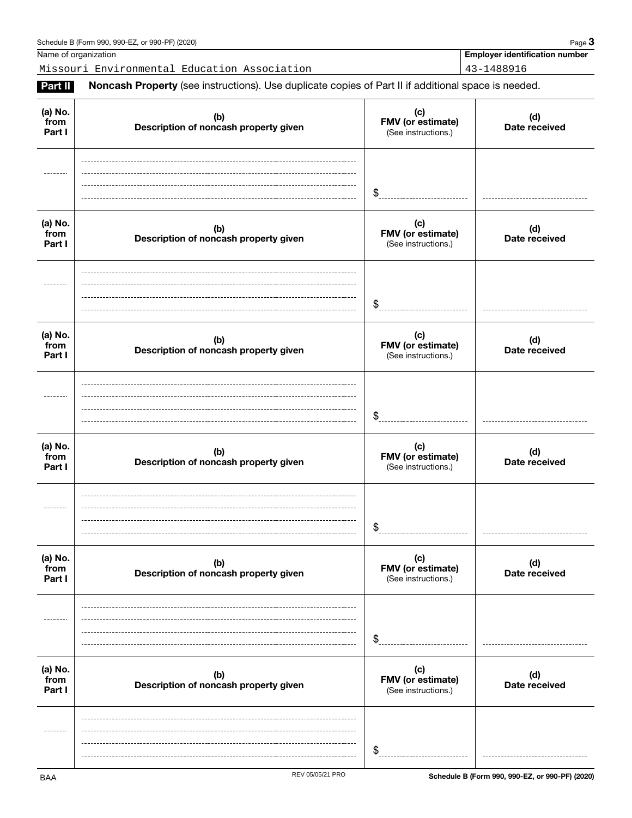Missouri Environmental Education Association 43-1488916

| <b>Noncash</b><br>art II |
|--------------------------|
|--------------------------|

**Part II** Noncash Property (see instructions). Use duplicate copies of Part II if additional space is needed.

Name of organization **Employer identification number**

| (a) No.<br>from<br>Part I | (b)<br>Description of noncash property given | (c)<br>FMV (or estimate)<br>(See instructions.) | (d)<br>Date received |
|---------------------------|----------------------------------------------|-------------------------------------------------|----------------------|
|                           |                                              | $\frac{1}{2}$                                   |                      |
| (a) No.<br>from<br>Part I | (b)<br>Description of noncash property given | (c)<br>FMV (or estimate)<br>(See instructions.) | (d)<br>Date received |
|                           |                                              | \$                                              |                      |
| (a) No.<br>from<br>Part I | (b)<br>Description of noncash property given | (c)<br>FMV (or estimate)<br>(See instructions.) | (d)<br>Date received |
|                           |                                              | \$                                              |                      |
| (a) No.<br>from<br>Part I | (b)<br>Description of noncash property given | (c)<br>FMV (or estimate)<br>(See instructions.) | (d)<br>Date received |
|                           |                                              | \$                                              |                      |
| (a) No.<br>from<br>Part I | (b)<br>Description of noncash property given | (c)<br>FMV (or estimate)<br>(See instructions.) | (d)<br>Date received |
| .                         |                                              | \$                                              |                      |
| (a) No.<br>from<br>Part I | (b)<br>Description of noncash property given | (c)<br>FMV (or estimate)<br>(See instructions.) | (d)<br>Date received |
| -------                   |                                              | \$                                              |                      |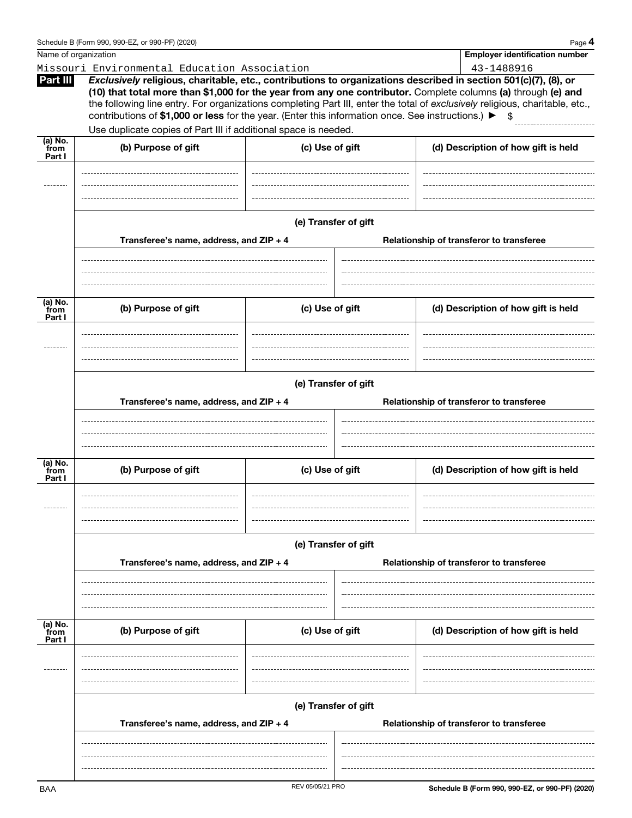|                           | Schedule B (Form 990, 990-EZ, or 990-PF) (2020)                                                                                                                                                                                                                                                                                                                                                                                                                                           |                 |                                     | Page 4                                   |  |  |
|---------------------------|-------------------------------------------------------------------------------------------------------------------------------------------------------------------------------------------------------------------------------------------------------------------------------------------------------------------------------------------------------------------------------------------------------------------------------------------------------------------------------------------|-----------------|-------------------------------------|------------------------------------------|--|--|
| Name of organization      |                                                                                                                                                                                                                                                                                                                                                                                                                                                                                           |                 |                                     | <b>Employer identification number</b>    |  |  |
|                           | Missouri Environmental Education Association                                                                                                                                                                                                                                                                                                                                                                                                                                              |                 |                                     | 43-1488916                               |  |  |
| Part III                  | Exclusively religious, charitable, etc., contributions to organizations described in section 501(c)(7), (8), or<br>(10) that total more than \$1,000 for the year from any one contributor. Complete columns (a) through (e) and<br>the following line entry. For organizations completing Part III, enter the total of exclusively religious, charitable, etc.,<br>contributions of \$1,000 or less for the year. (Enter this information once. See instructions.) $\blacktriangleright$ |                 |                                     | \$                                       |  |  |
|                           | Use duplicate copies of Part III if additional space is needed.                                                                                                                                                                                                                                                                                                                                                                                                                           |                 |                                     |                                          |  |  |
| (a) No.<br>from<br>Part I | (b) Purpose of gift                                                                                                                                                                                                                                                                                                                                                                                                                                                                       | (c) Use of gift |                                     | (d) Description of how gift is held      |  |  |
|                           |                                                                                                                                                                                                                                                                                                                                                                                                                                                                                           |                 |                                     |                                          |  |  |
|                           | (e) Transfer of gift<br>Transferee's name, address, and ZIP + 4<br>Relationship of transferor to transferee                                                                                                                                                                                                                                                                                                                                                                               |                 |                                     |                                          |  |  |
|                           |                                                                                                                                                                                                                                                                                                                                                                                                                                                                                           |                 |                                     |                                          |  |  |
| (a) No.<br>from<br>Part I | (b) Purpose of gift                                                                                                                                                                                                                                                                                                                                                                                                                                                                       | (c) Use of gift | (d) Description of how gift is held |                                          |  |  |
|                           |                                                                                                                                                                                                                                                                                                                                                                                                                                                                                           |                 |                                     |                                          |  |  |
|                           | (e) Transfer of gift<br>Transferee's name, address, and ZIP + 4<br>Relationship of transferor to transferee                                                                                                                                                                                                                                                                                                                                                                               |                 |                                     |                                          |  |  |
|                           |                                                                                                                                                                                                                                                                                                                                                                                                                                                                                           |                 |                                     |                                          |  |  |
| (a) No.<br>from<br>Part I | (b) Purpose of gift                                                                                                                                                                                                                                                                                                                                                                                                                                                                       | (c) Use of gift |                                     | (d) Description of how gift is held      |  |  |
|                           |                                                                                                                                                                                                                                                                                                                                                                                                                                                                                           |                 |                                     |                                          |  |  |
|                           |                                                                                                                                                                                                                                                                                                                                                                                                                                                                                           |                 |                                     |                                          |  |  |
|                           |                                                                                                                                                                                                                                                                                                                                                                                                                                                                                           |                 |                                     |                                          |  |  |
|                           | (e) Transfer of gift<br>Transferee's name, address, and ZIP + 4<br>Relationship of transferor to transferee                                                                                                                                                                                                                                                                                                                                                                               |                 |                                     |                                          |  |  |
|                           |                                                                                                                                                                                                                                                                                                                                                                                                                                                                                           |                 |                                     |                                          |  |  |
|                           |                                                                                                                                                                                                                                                                                                                                                                                                                                                                                           |                 |                                     |                                          |  |  |
|                           |                                                                                                                                                                                                                                                                                                                                                                                                                                                                                           |                 |                                     |                                          |  |  |
| (a) No.<br>from<br>Part I | (b) Purpose of gift                                                                                                                                                                                                                                                                                                                                                                                                                                                                       | (c) Use of gift |                                     | (d) Description of how gift is held      |  |  |
|                           |                                                                                                                                                                                                                                                                                                                                                                                                                                                                                           |                 |                                     |                                          |  |  |
|                           |                                                                                                                                                                                                                                                                                                                                                                                                                                                                                           |                 |                                     |                                          |  |  |
|                           |                                                                                                                                                                                                                                                                                                                                                                                                                                                                                           |                 |                                     |                                          |  |  |
|                           |                                                                                                                                                                                                                                                                                                                                                                                                                                                                                           |                 |                                     |                                          |  |  |
|                           | (e) Transfer of gift<br>Transferee's name, address, and ZIP + 4                                                                                                                                                                                                                                                                                                                                                                                                                           |                 |                                     | Relationship of transferor to transferee |  |  |
|                           |                                                                                                                                                                                                                                                                                                                                                                                                                                                                                           |                 |                                     |                                          |  |  |
|                           |                                                                                                                                                                                                                                                                                                                                                                                                                                                                                           |                 |                                     |                                          |  |  |
|                           |                                                                                                                                                                                                                                                                                                                                                                                                                                                                                           |                 |                                     |                                          |  |  |
|                           |                                                                                                                                                                                                                                                                                                                                                                                                                                                                                           |                 |                                     |                                          |  |  |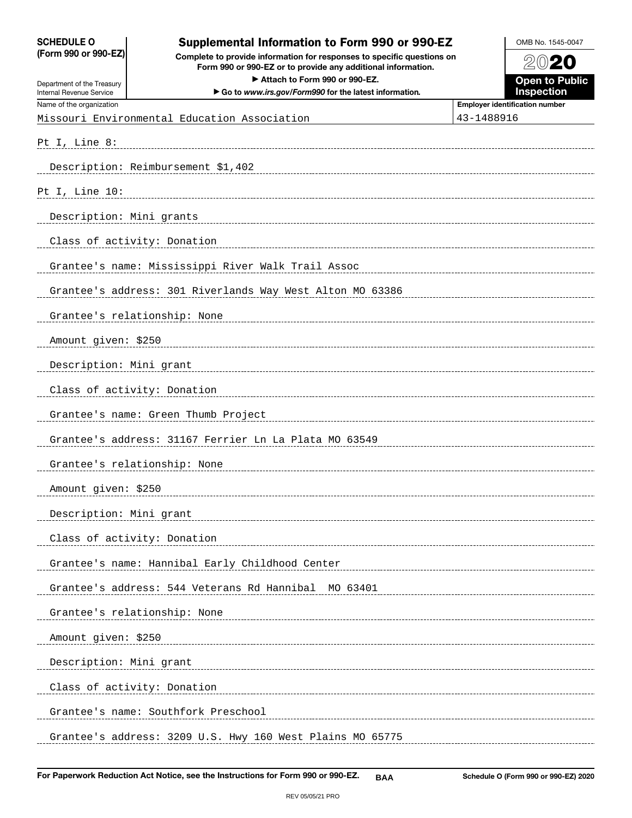**SCHEDULE O (Form 990 or 990-EZ)**

**Complete to provide information for responses to specific questions on Form 990 or 990-EZ or to provide any additional information.**



| Department of the Treasury<br>Internal Revenue Service | Attach to Form 990 or 990-EZ.<br>Go to www.irs.gov/Form990 for the latest information. | <b>Open to Public</b><br>Inspection   |
|--------------------------------------------------------|----------------------------------------------------------------------------------------|---------------------------------------|
| Name of the organization                               |                                                                                        | <b>Employer identification number</b> |
|                                                        | Missouri Environmental Education Association                                           | 43-1488916                            |
| Pt I, Line 8:                                          |                                                                                        |                                       |
|                                                        | Description: Reimbursement \$1,402                                                     |                                       |
| Pt I, Line 10:                                         |                                                                                        |                                       |
| Description: Mini grants                               |                                                                                        |                                       |
|                                                        | Class of activity: Donation                                                            |                                       |
|                                                        | Grantee's name: Mississippi River Walk Trail Assoc                                     |                                       |
|                                                        | Grantee's address: 301 Riverlands Way West Alton MO 63386                              |                                       |
|                                                        | Grantee's relationship: None                                                           |                                       |
| Amount given: \$250                                    |                                                                                        |                                       |
| Description: Mini grant                                |                                                                                        |                                       |
|                                                        | Class of activity: Donation                                                            |                                       |
|                                                        | Grantee's name: Green Thumb Project                                                    |                                       |
|                                                        | Grantee's address: 31167 Ferrier Ln La Plata MO 63549                                  |                                       |
|                                                        | Grantee's relationship: None                                                           |                                       |
| Amount given: \$250                                    |                                                                                        |                                       |
| Description: Mini grant                                |                                                                                        |                                       |
|                                                        | Class of activity: Donation                                                            |                                       |
|                                                        | Grantee's name: Hannibal Early Childhood Center                                        |                                       |
|                                                        | Grantee's address: 544 Veterans Rd Hannibal MO 63401                                   |                                       |
|                                                        | Grantee's relationship: None                                                           |                                       |
| Amount given: \$250                                    |                                                                                        |                                       |
| Description: Mini grant                                |                                                                                        |                                       |
|                                                        | Class of activity: Donation                                                            |                                       |
|                                                        | Grantee's name: Southfork Preschool                                                    |                                       |
|                                                        | Grantee's address: 3209 U.S. Hwy 160 West Plains MO 65775                              |                                       |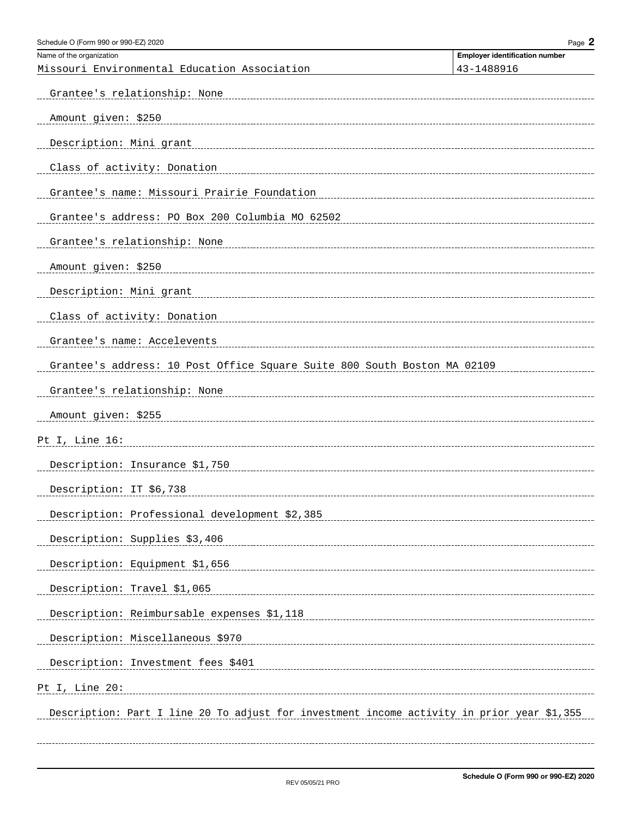| Schedule O (Form 990 or 990-EZ) 2020                                                       | Page 2                                |
|--------------------------------------------------------------------------------------------|---------------------------------------|
| Name of the organization                                                                   | <b>Employer identification number</b> |
| Missouri Environmental Education Association                                               | 43-1488916                            |
| Grantee's relationship: None                                                               |                                       |
|                                                                                            |                                       |
|                                                                                            |                                       |
| Class of activity: Donation                                                                |                                       |
| Grantee's name: Missouri Prairie Foundation                                                |                                       |
| Grantee's address: PO Box 200 Columbia MO 62502                                            |                                       |
| Grantee's relationship: None                                                               |                                       |
|                                                                                            |                                       |
| Description: Mini grant                                                                    |                                       |
| Class of activity: Donation                                                                |                                       |
| Grantee's name: Accelevents                                                                |                                       |
| Grantee's address: 10 Post Office Square Suite 800 South Boston MA 02109                   |                                       |
| Grantee's relationship: None                                                               |                                       |
| Amount given: \$255                                                                        |                                       |
| Pt I, Line 16:                                                                             |                                       |
| Description: Insurance \$1,750                                                             |                                       |
| Description: IT \$6,738                                                                    |                                       |
| Description: Professional development \$2,385                                              |                                       |
| Description: Supplies \$3,406                                                              |                                       |
| Description: Equipment \$1,656                                                             |                                       |
| Description: Travel \$1,065                                                                |                                       |
| Description: Reimbursable expenses \$1,118                                                 |                                       |
| Description: Miscellaneous \$970                                                           |                                       |
| Description: Investment fees \$401                                                         |                                       |
| Pt I, Line 20:                                                                             |                                       |
| Description: Part I line 20 To adjust for investment income activity in prior year \$1,355 |                                       |
|                                                                                            |                                       |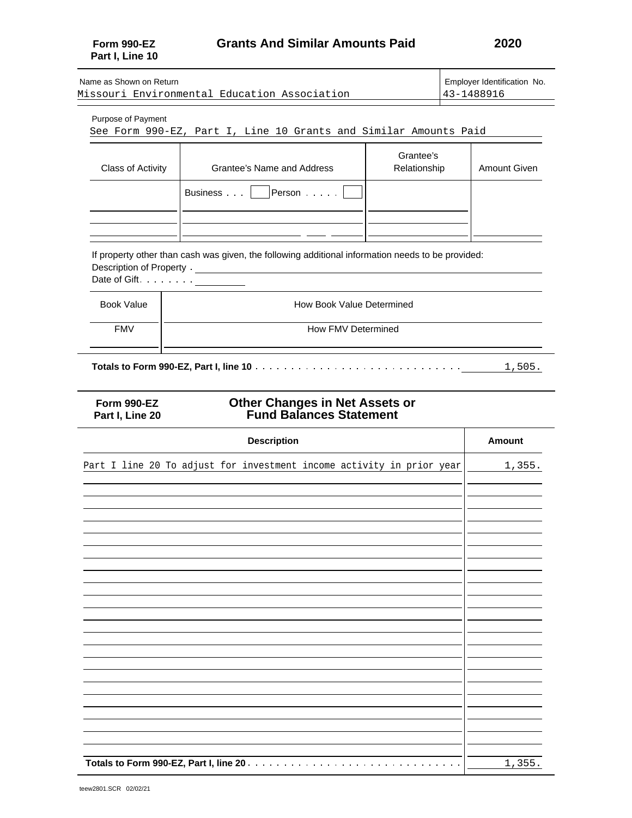# **Part I, Line 10**

| Name as Shown on Return                      | Employer Identification No. |
|----------------------------------------------|-----------------------------|
| Missouri Environmental Education Association | 43-1488916                  |
|                                              |                             |

#### Purpose of Payment

See Form 990-EZ, Part I, Line 10 Grants and Similar Amounts Paid

| Class of Activity | Grantee's Name and Address                  | Grantee's<br>Relationship | Amount Given |
|-------------------|---------------------------------------------|---------------------------|--------------|
|                   | $\vert$ Person $\ldots$ $\vert$<br>Business |                           |              |
|                   |                                             |                           |              |

If property other than cash was given, the following additional information needs to be provided: Description of Property

Date of Gift. . . . . . . . <u>\_\_\_\_\_\_\_\_</u>

| Book Value | How Book Value Determined |
|------------|---------------------------|
| <b>FMV</b> | How FMV Determined        |
|            |                           |

#### **Totals to Form 990-EZ, Part I, line 10** 1,505.

# **Form 990-EZ Other Changes in Net Assets or Part I, Line 20 Fund Balances Statement**

| <b>Description</b>                                                    | Amount |
|-----------------------------------------------------------------------|--------|
| Part I line 20 To adjust for investment income activity in prior year | 1,355. |
|                                                                       |        |
|                                                                       |        |
|                                                                       |        |
|                                                                       |        |
|                                                                       |        |
|                                                                       |        |
|                                                                       |        |
|                                                                       |        |
|                                                                       |        |
|                                                                       |        |
|                                                                       |        |
|                                                                       |        |
|                                                                       |        |
| Totals to Form 990-EZ, Part I, line 20                                | 1,355. |
|                                                                       |        |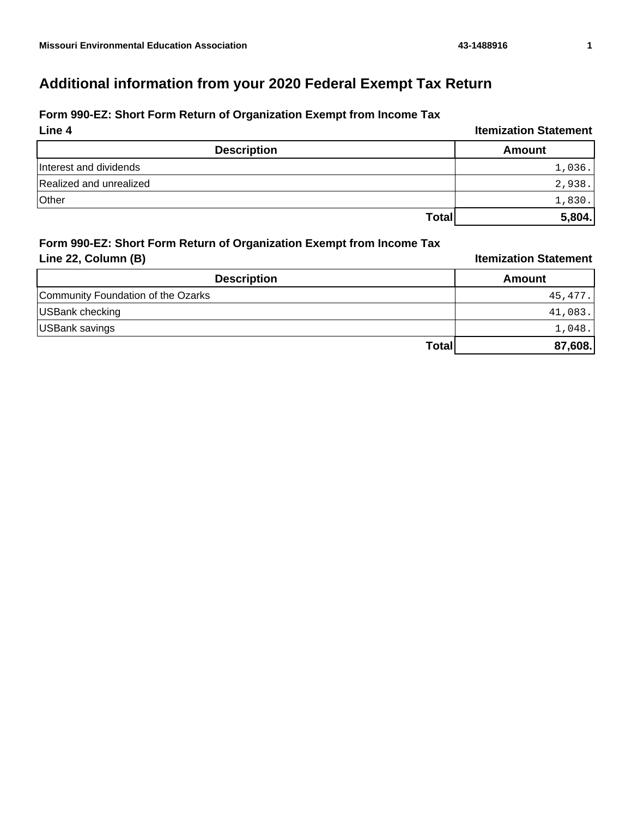# **Additional information from your 2020 Federal Exempt Tax Return**

# **Form 990-EZ: Short Form Return of Organization Exempt from Income Tax**

| Line 4                  | <b>Itemization Statement</b> |
|-------------------------|------------------------------|
| <b>Description</b>      | <b>Amount</b>                |
| Interest and dividends  | 1,036.                       |
| Realized and unrealized | 2,938.                       |
| Other                   | 1,830.                       |
| Total                   | 5,804.                       |

## **Form 990-EZ: Short Form Return of Organization Exempt from Income Tax Line 22, Column (B) Itemization Statement**

| <b>Description</b>                 | Amount  |
|------------------------------------|---------|
| Community Foundation of the Ozarks | 45,477. |
| USBank checking                    | 41,083. |
| USBank savings                     | 1,048.  |
| Total                              | 87,608. |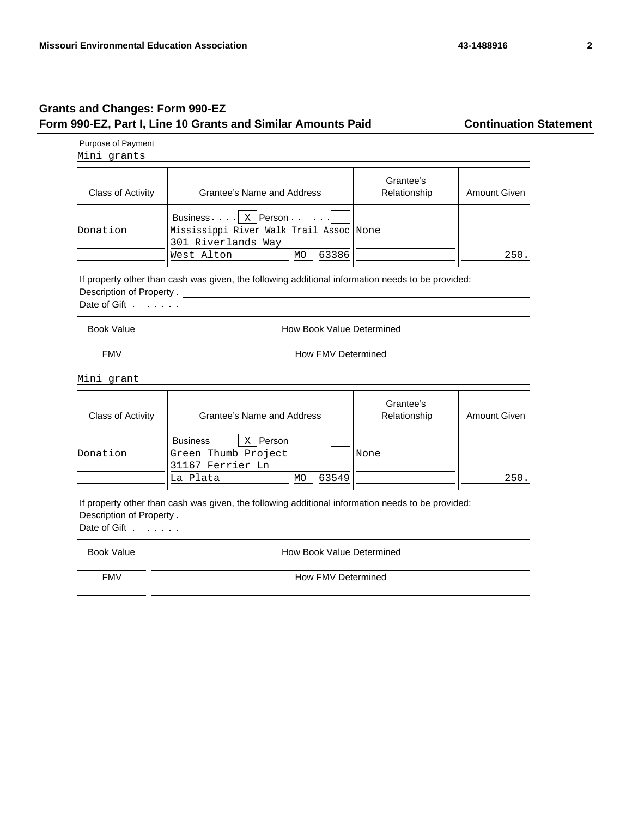# **Grants and Changes: Form 990-EZ** Form 990-EZ, Part I, Line 10 Grants and Similar Amounts Paid **Continuation Statement**

| Grantee's Name and Address                                                                                         | Grantee's<br>Relationship | Amount Given                                                                                                                                 |  |
|--------------------------------------------------------------------------------------------------------------------|---------------------------|----------------------------------------------------------------------------------------------------------------------------------------------|--|
| Business $\ldots$   $X$   Person $\ldots$  <br>301 Riverlands Way<br>West Alton<br>63386<br>MO                     |                           | 250.                                                                                                                                         |  |
|                                                                                                                    |                           |                                                                                                                                              |  |
| How Book Value Determined                                                                                          |                           |                                                                                                                                              |  |
| How FMV Determined                                                                                                 |                           |                                                                                                                                              |  |
|                                                                                                                    |                           |                                                                                                                                              |  |
| Grantee's Name and Address                                                                                         | Grantee's<br>Relationship | Amount Given                                                                                                                                 |  |
| Business $\ldots$   $X$   Person $\ldots$ .<br>Green Thumb Project<br>31167 Ferrier Ln<br>La Plata<br>63549<br>MO. | None                      | 250.                                                                                                                                         |  |
| Class of Activity<br>Class of Activity                                                                             |                           | Mississippi River Walk Trail Assoc None<br>If property other than cash was given, the following additional information needs to be provided: |  |

| Book Value | How Book Value Determined |  |
|------------|---------------------------|--|
| <b>FMV</b> | How FMV Determined        |  |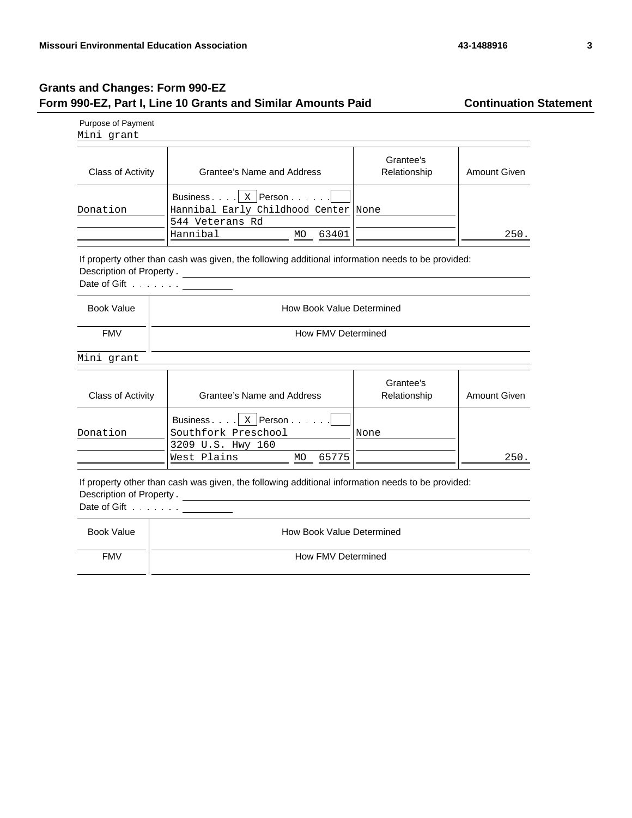# **Grants and Changes: Form 990-EZ** Form 990-EZ, Part I, Line 10 Grants and Similar Amounts Paid **Continuation Statement**

| Purpose of Payment<br>Mini grant |                                                                                                                                                                                                                                                                                                                                     |                                      |                     |  |
|----------------------------------|-------------------------------------------------------------------------------------------------------------------------------------------------------------------------------------------------------------------------------------------------------------------------------------------------------------------------------------|--------------------------------------|---------------------|--|
| Class of Activity                | Grantee's Name and Address                                                                                                                                                                                                                                                                                                          | Grantee's<br>Relationship            | <b>Amount Given</b> |  |
| Donation                         | Business $\therefore$ $\mid$ X   Person $\ldots$  <br>544 Veterans Rd<br>Hannibal<br>63401<br>$MO_{-}$                                                                                                                                                                                                                              | Hannibal Early Childhood Center None | 250.                |  |
|                                  | If property other than cash was given, the following additional information needs to be provided:                                                                                                                                                                                                                                   |                                      |                     |  |
| <b>Book Value</b>                | How Book Value Determined                                                                                                                                                                                                                                                                                                           |                                      |                     |  |
| <b>FMV</b>                       | How FMV Determined                                                                                                                                                                                                                                                                                                                  |                                      |                     |  |
| Mini grant                       |                                                                                                                                                                                                                                                                                                                                     |                                      |                     |  |
| Class of Activity                | Grantee's Name and Address                                                                                                                                                                                                                                                                                                          | Grantee's<br>Relationship            | Amount Given        |  |
| Donation                         | Business $\ldots$   $X$   Person $\ldots$ .<br>Southfork Preschool<br>3209 U.S. Hwy 160<br>West Plains<br>65775<br>MO                                                                                                                                                                                                               | None                                 | 250.                |  |
| Date of Gift <u>_______</u>      | If property other than cash was given, the following additional information needs to be provided:<br>Description of Property and Contract and Contract of Property and Contract and Contract of Property and Contract of Contract of Contract of Contract of Contract of Contract of Contract of Contract of Contract of Contract o |                                      |                     |  |
| <b>Book Value</b>                | <b>How Book Value Determined</b>                                                                                                                                                                                                                                                                                                    |                                      |                     |  |
| <b>FMV</b>                       | How FMV Determined                                                                                                                                                                                                                                                                                                                  |                                      |                     |  |